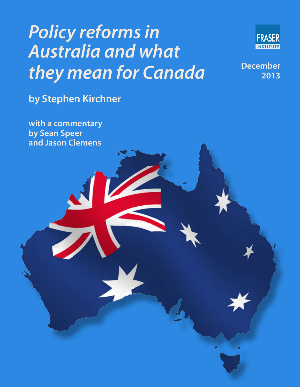# *Policy reforms in Australia and what they mean for Canada*



**December 2013**

 **by Stephen Kirchner** 

**with a commentary by Sean Speer and Jason Clemens**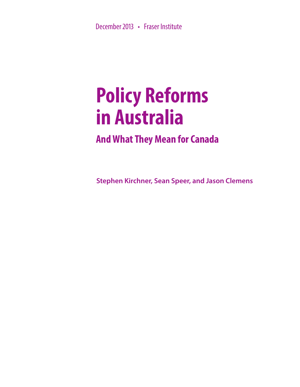# **Policy Reforms in Australia**

### **And What They Mean for Canada**

**Stephen Kirchner, Sean Speer, and Jason Clemens**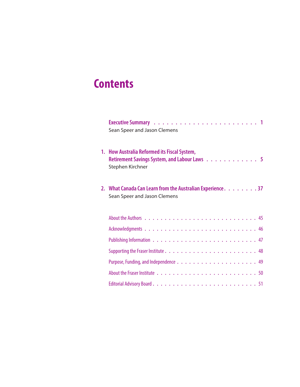## **Contents**

| Sean Speer and Jason Clemens                                                                                     |
|------------------------------------------------------------------------------------------------------------------|
| 1. How Australia Reformed its Fiscal System,<br>Retirement Savings System, and Labour Laws 5<br>Stephen Kirchner |
| 2. What Canada Can Learn from the Australian Experience. 37<br>Sean Speer and Jason Clemens                      |
|                                                                                                                  |
|                                                                                                                  |
|                                                                                                                  |
|                                                                                                                  |
|                                                                                                                  |
|                                                                                                                  |
| Editorial Advisory Board51                                                                                       |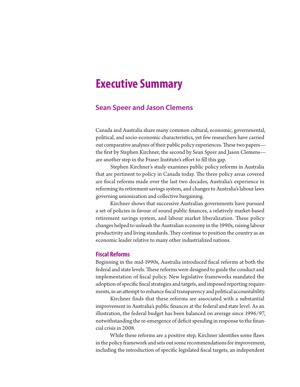### <span id="page-4-0"></span>**Executive Summary**

### **Sean Speer and Jason Clemens**

Canada and Australia share many common cultural, economic, governmental, political, and socio-economic characteristics, yet few researchers have carried out comparative analyses of their public policy experiences. These two papers the first by Stephen Kirchner, the second by Sean Speer and Jason Clemens are another step in the Fraser Institute's effort to fill this gap.

Stephen Kirchner's study examines public policy reforms in Australia that are pertinent to policy in Canada today. The three policy areas covered are fiscal reforms made over the last two decades, Australia's experience in reforming its retirement savings system, and changes to Australia's labour laws governing unionization and collective bargaining.

Kirchner shows that successive Australian governments have pursued a set of policies in favour of sound public finances, a relatively market-based retirement savings system, and labour market liberalization. These policy changes helped to unleash the Australian economy in the 1990s, raising labour productivity and living standards. They continue to position the country as an economic leader relative to many other industrialized nations.

#### **Fiscal Reforms**

Beginning in the mid-1990s, Australia introduced fiscal reforms at both the federal and state levels. These reforms were designed to guide the conduct and implementation of fiscal policy. New legislative frameworks mandated the adoption of specific fiscal strategies and targets, and imposed reporting requirements, in an attempt to enhance fiscal transparency and political accountability.

Kirchner finds that these reforms are associated with a substantial improvement in Australia's public finances at the federal and state level. As an illustration, the federal budget has been balanced on average since 1996/97, notwithstanding the re-emergence of deficit spending in response to the financial crisis in 2008.

While these reforms are a positive step, Kirchner identifies some flaws in the policy framework and sets out some recommendations for improvement, including the introduction of specific legislated fiscal targets, an independent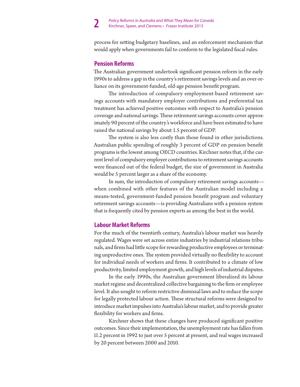process for setting budgetary baselines, and an enforcement mechanism that would apply when governments fail to conform to the legislated fiscal rules.

#### **Pension Reforms**

The Australian government undertook significant pension reform in the early 1990s to address a gap in the country's retirement savings levels and an over-reliance on its government-funded, old-age pension benefit program.

The introduction of compulsory employment-based retirement savings accounts with mandatory employer contributions and preferential tax treatment has achieved positive outcomes with respect to Australia's pension coverage and national savings. These retirement savings accounts cover approximately 90 percent of the country's workforce and have been estimated to have raised the national savings by about 1.5 percent of GDP.

The system is also less costly than those found in other jurisdictions. Australian public spending of roughly 3 percent of GDP on pension benefit programs is the lowest among OECD countries. Kirchner notes that, if the current level of compulsory employer contributions to retirement savings accounts were financed out of the federal budget, the size of government in Australia would be 5 percent larger as a share of the economy.

In sum, the introduction of compulsory retirement savings accounts when combined with other features of the Australian model including a means-tested, government-funded pension benefit program and voluntary retirement savings accounts—is providing Australians with a pension system that is frequently cited by pension experts as among the best in the world.

#### **Labour Market Reforms**

For the much of the twentieth century, Australia's labour market was heavily regulated. Wages were set across entire industries by industrial relations tribunals, and firms had little scope for rewarding productive employees or terminating unproductive ones. The system provided virtually no flexibility to account for individual needs of workers and firms. It contributed to a climate of low productivity, limited employment growth, and high levels of industrial disputes.

In the early 1990s, the Australian government liberalized its labour market regime and decentralized collective bargaining to the firm or employee level. It also sought to reform restrictive dismissal laws and to reduce the scope for legally protected labour action. These structural reforms were designed to introduce market impulses into Australia's labour market, and to provide greater flexibility for workers and firms.

Kirchner shows that these changes have produced significant positive outcomes. Since their implementation, the unemployment rate has fallen from 11.2 percent in 1992 to just over 5 percent at present, and real wages increased by 20 percent between 2000 and 2010.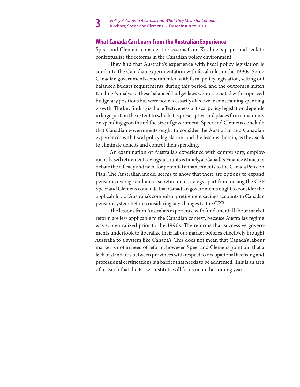#### **What Canada Can Learn from the Australian Experience**

Speer and Clemens consider the lessons from Kirchner's paper and seek to contextualize the reforms in the Canadian policy environment.

They find that Australia's experience with fiscal policy legislation is similar to the Canadian experimentation with fiscal rules in the 1990s. Some Canadian governments experimented with fiscal policy legislation, setting out balanced budget requirements during this period, and the outcomes match Kirchner's analysis. These balanced budget laws were associated with improved budgetary positions but were not necessarily effective in constraining spending growth. The key finding is that effectiveness of fiscal policy legislation depends in large part on the extent to which it is prescriptive and places firm constraints on spending growth and the size of government. Speer and Clemens conclude that Canadian governments ought to consider the Australian and Canadian experiences with fiscal policy legislation, and the lessons therein, as they seek to eliminate deficits and control their spending.

An examination of Australia's experience with compulsory, employment-based retirement savings accounts is timely, as Canada's Finance Ministers debate the efficacy and need for potential enhancements to the Canada Pension Plan. The Australian model seems to show that there are options to expand pension coverage and increase retirement savings apart from raising the CPP. Speer and Clemens conclude that Canadian governments ought to consider the applicability of Australia's compulsory retirement savings accounts to Canada's pension system before considering any changes to the CPP.

The lessons from Australia's experience with fundamental labour market reform are less applicable to the Canadian context, because Australia's regime was so centralized prior to the 1990s. The reforms that successive governments undertook to liberalize their labour market policies effectively brought Australia to a system like Canada's. This does not mean that Canada's labour market is not in need of reform, however. Speer and Clemens point out that a lack of standards between provinces with respect to occupational licensing and professional certifications is a barrier that needs to be addressed. This is an area of research that the Fraser Institute will focus on in the coming years.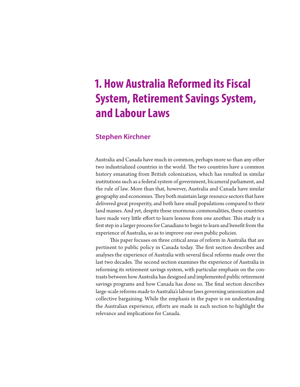## **1. How Australia Reformed its Fiscal System, Retirement Savings System, and Labour Laws**

### **Stephen Kirchner**

Australia and Canada have much in common, perhaps more so than any other two industrialized countries in the world. The two countries have a common history emanating from British colonization, which has resulted in similar institutions such as a federal system of government, bicameral parliament, and the rule of law. More than that, however, Australia and Canada have similar geography and economies. They both maintain large resource sectors that have delivered great prosperity, and both have small populations compared to their land masses. And yet, despite these enormous commonalities, these countries have made very little effort to learn lessons from one another. This study is a first step in a larger process for Canadians to begin to learn and benefit from the experience of Australia, so as to improve our own public policies.

This paper focuses on three critical areas of reform in Australia that are pertinent to public policy in Canada today. The first section describes and analyses the experience of Australia with several fiscal reforms made over the last two decades. The second section examines the experience of Australia in reforming its retirement savings system, with particular emphasis on the contrasts between how Australia has designed and implemented public retirement savings programs and how Canada has done so. The final section describes large-scale reforms made to Australia's labour laws governing unionization and collective bargaining. While the emphasis in the paper is on understanding the Australian experience, efforts are made in each section to highlight the relevance and implications for Canada.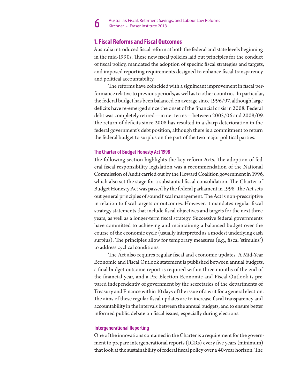

#### **1. Fiscal Reforms and Fiscal Outcomes**

Australia introduced fiscal reform at both the federal and state levels beginning in the mid-1990s. These new fiscal policies laid out principles for the conduct of fiscal policy, mandated the adoption of specific fiscal strategies and targets, and imposed reporting requirements designed to enhance fiscal transparency and political accountability.

The reforms have coincided with a significant improvement in fiscal performance relative to previous periods, as well as to other countries. In particular, the federal budget has been balanced on average since 1996/97, although large deficits have re-emerged since the onset of the financial crisis in 2008. Federal debt was completely retired—in net terms—between 2005/06 and 2008/09. The return of deficits since 2008 has resulted in a sharp deterioration in the federal government's debt position, although there is a commitment to return the federal budget to surplus on the part of the two major political parties.

#### **The Charter of Budget Honesty Act 1998**

The following section highlights the key reform Acts. The adoption of federal fiscal responsibility legislation was a recommendation of the National Commission of Audit carried out by the Howard Coalition government in 1996, which also set the stage for a substantial fiscal consolidation. The Charter of Budget Honesty Act was passed by the federal parliament in 1998. The Act sets out general principles of sound fiscal management. The Act is non-prescriptive in relation to fiscal targets or outcomes. However, it mandates regular fiscal strategy statements that include fiscal objectives and targets for the next three years, as well as a longer-term fiscal strategy. Successive federal governments have committed to achieving and maintaining a balanced budget over the course of the economic cycle (usually interpreted as a modest underlying cash surplus). The principles allow for temporary measures (e.g., fiscal 'stimulus') to address cyclical conditions.

The Act also requires regular fiscal and economic updates. A Mid-Year Economic and Fiscal Outlook statement is published between annual budgets, a final budget outcome report is required within three months of the end of the financial year, and a Pre-Election Economic and Fiscal Outlook is prepared independently of government by the secretaries of the departments of Treasury and Finance within 10 days of the issue of a writ for a general election. The aims of these regular fiscal updates are to increase fiscal transparency and accountability in the intervals between the annual budgets, and to ensure better informed public debate on fiscal issues, especially during elections.

#### **Intergenerational Reporting**

One of the innovations contained in the Charter is a requirement for the government to prepare intergenerational reports (IGRs) every five years (minimum) that look at the sustainability of federal fiscal policy over a 40-year horizon. The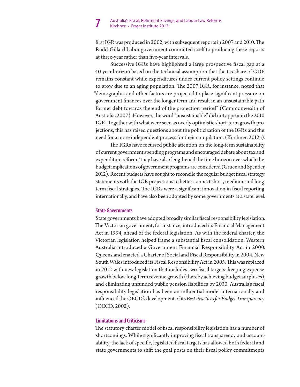first IGR was produced in 2002, with subsequent reports in 2007 and 2010. The Rudd-Gillard Labor government committed itself to producing these reports at three-year rather than five-year intervals.

Successive IGRs have highlighted a large prospective fiscal gap at a 40-year horizon based on the technical assumption that the tax share of GDP remains constant while expenditures under current policy settings continue to grow due to an aging population. The 2007 IGR, for instance, noted that "demographic and other factors are projected to place significant pressure on government finances over the longer term and result in an unsustainable path for net debt towards the end of the projection period" (Commonwealth of Australia, 2007). However, the word "unsustainable" did not appear in the 2010 IGR. Together with what were seen as overly optimistic short-term growth projections, this has raised questions about the politicization of the IGRs and the need for a more independent process for their compilation. (Kirchner, 2012a).

The IGRs have focussed public attention on the long-term sustainability of current government spending programs and encouraged debate about tax and expenditure reform. They have also lengthened the time horizon over which the budget implications of government programs are considered (Gruen and Spender, 2012). Recent budgets have sought to reconcile the regular budget fiscal strategy statements with the IGR projections to better connect short, medium, and longterm fiscal strategies. The IGRs were a significant innovation in fiscal reporting internationally, and have also been adopted by some governments at a state level.

#### **State Governments**

State governments have adopted broadly similar fiscal responsibility legislation. The Victorian government, for instance, introduced its Financial Management Act in 1994, ahead of the federal legislation. As with the federal charter, the Victorian legislation helped frame a substantial fiscal consolidation. Western Australia introduced a Government Financial Responsibility Act in 2000. Queensland enacted a Charter of Social and Fiscal Responsibility in 2004. New South Wales introduced its Fiscal Responsibility Act in 2005. This was replaced in 2012 with new legislation that includes two fiscal targets: keeping expense growth below long-term revenue growth (thereby achieving budget surpluses), and eliminating unfunded public pension liabilities by 2030. Australia's fiscal responsibility legislation has been an influential model internationally and influenced the OECD's development of its *Best Practices for Budget Transparency* (OECD, 2002).

#### **Limitations and Criticisms**

The statutory charter model of fiscal responsibility legislation has a number of shortcomings. While significantly improving fiscal transparency and accountability, the lack of specific, legislated fiscal targets has allowed both federal and state governments to shift the goal posts on their fiscal policy commitments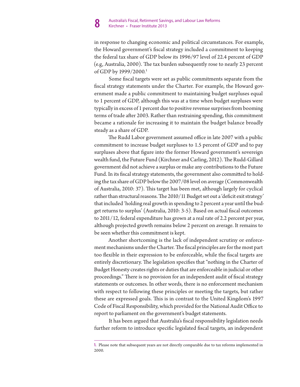

in response to changing economic and political circumstances. For example, the Howard government's fiscal strategy included a commitment to keeping the federal tax share of GDP below its 1996/97 level of 22.4 percent of GDP (e.g, Australia, 2000). The tax burden subsequently rose to nearly 23 percent of GDP by 1999/2000.<sup>1</sup>

Some fiscal targets were set as public commitments separate from the fiscal strategy statements under the Charter. For example, the Howard government made a public commitment to maintaining budget surpluses equal to 1 percent of GDP, although this was at a time when budget surpluses were typically in excess of 1 percent due to positive revenue surprises from booming terms of trade after 2003. Rather than restraining spending, this commitment became a rationale for increasing it to maintain the budget balance broadly steady as a share of GDP.

The Rudd Labor government assumed office in late 2007 with a public commitment to increase budget surpluses to 1.5 percent of GDP and to pay surpluses above that figure into the former Howard government's sovereign wealth fund, the Future Fund (Kirchner and Carling, 2012). The Rudd-Gillard government did not achieve a surplus or make any contributions to the Future Fund. In its fiscal strategy statements, the government also committed to holding the tax share of GDP below the 2007/08 level on average (Commonwealth of Australia, 2010: 37). This target has been met, although largely for cyclical rather than structural reasons. The 2010/11 Budget set out a 'deficit exit strategy' that included 'holding real growth in spending to 2 percent a year until the budget returns to surplus' (Australia, 2010: 3-5). Based on actual fiscal outcomes to 2011/12, federal expenditure has grown at a real rate of 2.2 percent per year, although projected growth remains below 2 percent on average. It remains to be seen whether this commitment is kept.

Another shortcoming is the lack of independent scrutiny or enforcement mechanisms under the Charter. The fiscal principles are for the most part too flexible in their expression to be enforceable, while the fiscal targets are entirely discretionary. The legislation specifies that "nothing in the Charter of Budget Honesty creates rights or duties that are enforceable in judicial or other proceedings." There is no provision for an independent audit of fiscal strategy statements or outcomes. In other words, there is no enforcement mechanism with respect to following these principles or meeting the targets, but rather these are expressed goals. This is in contrast to the United Kingdom's 1997 Code of Fiscal Responsibility, which provided for the National Audit Office to report to parliament on the government's budget statements.

It has been argued that Australia's fiscal responsibility legislation needs further reform to introduce specific legislated fiscal targets, an independent

**<sup>1.</sup>** Please note that subsequent years are not directly comparable due to tax reforms implemented in 2000.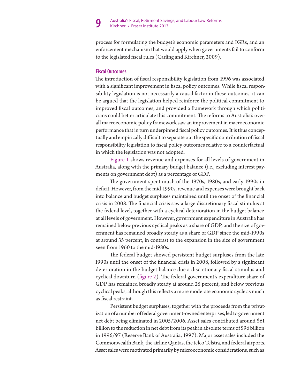

process for formulating the budget's economic parameters and IGRs, and an enforcement mechanism that would apply when governments fail to conform to the legislated fiscal rules (Carling and Kirchner, 2009).

#### **Fiscal Outcomes**

The introduction of fiscal responsibility legislation from 1996 was associated with a significant improvement in fiscal policy outcomes. While fiscal responsibility legislation is not necessarily a causal factor in these outcomes, it can be argued that the legislation helped reinforce the political commitment to improved fiscal outcomes, and provided a framework through which politicians could better articulate this commitment. The reforms to Australia's overall macroeconomic policy framework saw an improvement in macroeconomic performance that in turn underpinned fiscal policy outcomes. It is thus conceptually and empirically difficult to separate out the specific contribution of fiscal responsibility legislation to fiscal policy outcomes relative to a counterfactual in which the legislation was not adopted.

Figure 1 shows revenue and expenses for all levels of government in Australia, along with the primary budget balance (i.e., excluding interest payments on government debt) as a percentage of GDP.

The government spent much of the 1970s, 1980s, and early 1990s in deficit. However, from the mid-1990s, revenue and expenses were brought back into balance and budget surpluses maintained until the onset of the financial crisis in 2008. The financial crisis saw a large discretionary fiscal stimulus at the federal level, together with a cyclical deterioration in the budget balance at all levels of government. However, government expenditure in Australia has remained below previous cyclical peaks as a share of GDP, and the size of government has remained broadly steady as a share of GDP since the mid-1990s at around 35 percent, in contrast to the expansion in the size of government seen from 1960 to the mid-1980s.

The federal budget showed persistent budget surpluses from the late 1990s until the onset of the financial crisis in 2008, followed by a significant deterioration in the budget balance due a discretionary fiscal stimulus and cyclical downturn (figure 2). The federal government's expenditure share of GDP has remained broadly steady at around 25 percent, and below previous cyclical peaks, although this reflects a more moderate economic cycle as much as fiscal restraint.

Persistent budget surpluses, together with the proceeds from the privatization of a number of federal government-owned enterprises, led to government net debt being eliminated in 2005/2006. Asset sales contributed around \$61 billion to the reduction in net debt from its peak in absolute terms of \$96 billion in 1996/97 (Reserve Bank of Australia, 1997). Major asset sales included the Commonwealth Bank, the airline Qantas, the telco Telstra, and federal airports. Asset sales were motivated primarily by microeconomic considerations, such as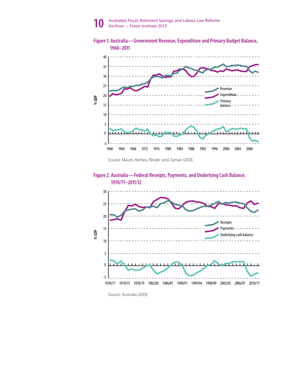

**Figure : Australia—Government Revenue, Expenditure and Primary Budget Balance, –**



Source: Mauro, Romeu, Binder, and Zaman (2013).

#### Figure 2: Australia—Federal Receipts, Payments, and Underlying Cash Balance, 1970/71-2011/12



Source: Australia (2013).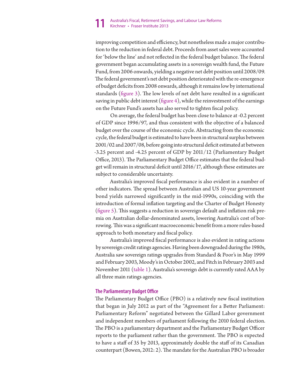improving competition and efficiency, but nonetheless made a major contribution to the reduction in federal debt. Proceeds from asset sales were accounted for 'below the line' and not reflected in the federal budget balance. The federal government began accumulating assets in a sovereign wealth fund, the Future Fund, from 2006 onwards, yielding a negative net debt position until 2008/09. The federal government's net debt position deteriorated with the re-emergence of budget deficits from 2008 onwards, although it remains low by international standards (figure 3). The low levels of net debt have resulted in a significant saving in public debt interest (figure 4), while the reinvestment of the earnings on the Future Fund's assets has also served to tighten fiscal policy.

On average, the federal budget has been close to balance at -0.2 percent of GDP since 1996/97, and thus consistent with the objective of a balanced budget over the course of the economic cycle. Abstracting from the economic cycle, the federal budget is estimated to have been in structural surplus between 2001/02 and 2007/08, before going into structural deficit estimated at between -3.25 percent and -4.25 percent of GDP by 2011/12 (Parliamentary Budget Office, 2013). The Parliamentary Budget Office estimates that the federal budget will remain in structural deficit until 2016/17, although these estimates are subject to considerable uncertainty.

Australia's improved fiscal performance is also evident in a number of other indicators. The spread between Australian and US 10-year government bond yields narrowed significantly in the mid-1990s, coinciding with the introduction of formal inflation targeting and the Charter of Budget Honesty (figure 5). This suggests a reduction in sovereign default and inflation risk premia on Australian dollar-denominated assets, lowering Australia's cost of borrowing. This was a significant macroeconomic benefit from a more rules-based approach to both monetary and fiscal policy.

Australia's improved fiscal performance is also evident in rating actions by sovereign credit ratings agencies. Having been downgraded during the 1980s, Australia saw sovereign ratings upgrades from Standard & Poor's in May 1999 and February 2003, Moody's in October 2002, and Fitch in February 2003 and November 2011 (table 1). Australia's sovereign debt is currently rated AAA by all three main ratings agencies.

#### **The Parliamentary Budget Office**

The Parliamentary Budget Office (PBO) is a relatively new fiscal institution that began in July 2012 as part of the "Agreement for a Better Parliament: Parliamentary Reform" negotiated between the Gillard Labor government and independent members of parliament following the 2010 federal election. The PBO is a parliamentary department and the Parliamentary Budget Officer reports to the parliament rather than the government. The PBO is expected to have a staff of 35 by 2013, approximately double the staff of its Canadian counterpart (Bowen, 2012: 2). The mandate for the Australian PBO is broader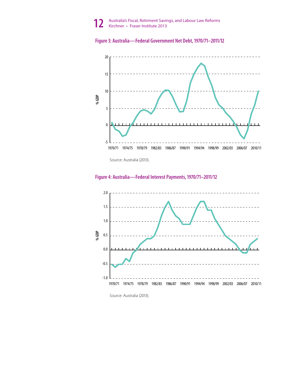









Source: Australia (2013).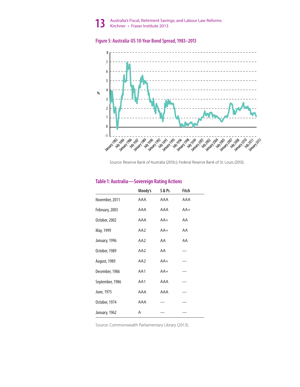

**13** Australia's Fiscal, Retirment Savings, and Labour Law Reforms<br>Kirchnor + Fracer Institute 2013 Kirchner • Fraser Institute 2013

#### **Figure 5: Australia-US 10-Year Bond Spread, 1983-2013**



Source: Reserve Bank of Australia (2013c); Federal Reserve Bank of St. Louis (2013).

### **Table 1: Australia—Sovereign Rating Actions**

|                 | Moody's         | <b>S &amp; Ps</b> | Fitch |
|-----------------|-----------------|-------------------|-------|
| November, 2011  | AAA             | AAA               | AAA   |
| February, 2003  | AAA             | AAA               | $AA+$ |
| October, 2002   | AAA             | $AA+$             | AA    |
| May, 1999       | AA <sub>2</sub> | $AA+$             | AA    |
| January, 1996   | AA2             | AA                | AA    |
| October, 1989   | AA <sub>2</sub> | AA                |       |
| August, 1989    | AA <sub>2</sub> | $AA+$             |       |
| December, 1986  | AA1             | $AA+$             |       |
| September, 1986 | AA1             | AAA               |       |
| June, 1975      | AAA             | AAA               |       |
| October, 1974   | AAA             |                   |       |
| January, 1962   | Α               |                   |       |

Source: Commonwealth Parliamentary Library (2013).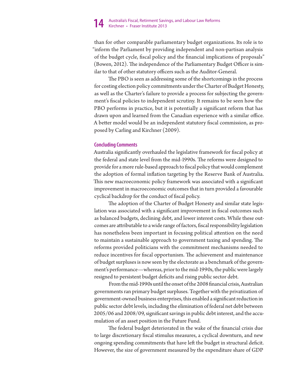than for other comparable parliamentary budget organizations. Its role is to "inform the Parliament by providing independent and non-partisan analysis of the budget cycle, fiscal policy and the financial implications of proposals" (Bowen, 2012). The independence of the Parliamentary Budget Officer is similar to that of other statutory officers such as the Auditor-General.

The PBO is seen as addressing some of the shortcomings in the process for costing election policy commitments under the Charter of Budget Honesty, as well as the Charter's failure to provide a process for subjecting the government's fiscal policies to independent scrutiny. It remains to be seen how the PBO performs in practice, but it is potentially a significant reform that has drawn upon and learned from the Canadian experience with a similar office. A better model would be an independent statutory fiscal commission, as proposed by Carling and Kirchner (2009).

#### **Concluding Comments**

Australia significantly overhauled the legislative framework for fiscal policy at the federal and state level from the mid-1990s. The reforms were designed to provide for a more rule-based approach to fiscal policy that would complement the adoption of formal inflation targeting by the Reserve Bank of Australia. This new macroeconomic policy framework was associated with a significant improvement in macroeconomic outcomes that in turn provided a favourable cyclical backdrop for the conduct of fiscal policy.

The adoption of the Charter of Budget Honesty and similar state legislation was associated with a significant improvement in fiscal outcomes such as balanced budgets, declining debt, and lower interest costs. While these outcomes are attributable to a wide range of factors, fiscal responsibility legislation has nonetheless been important in focusing political attention on the need to maintain a sustainable approach to government taxing and spending. The reforms provided politicians with the commitment mechanisms needed to reduce incentives for fiscal opportunism. The achievement and maintenance of budget surpluses is now seen by the electorate as a benchmark of the government's performance—whereas, prior to the mid-1990s, the public were largely resigned to persistent budget deficits and rising public sector debt.

From the mid-1990s until the onset of the 2008 financial crisis, Australian governments ran primary budget surpluses. Together with the privatization of government-owned business enterprises, this enabled a significant reduction in public sector debt levels, including the elimination of federal net debt between 2005/06 and 2008/09, significant savings in public debt interest, and the accumulation of an asset position in the Future Fund.

The federal budget deteriorated in the wake of the financial crisis due to large discretionary fiscal stimulus measures, a cyclical downturn, and new ongoing spending commitments that have left the budget in structural deficit. However, the size of government measured by the expenditure share of GDP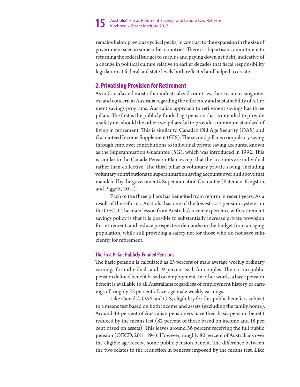remains below previous cyclical peaks, in contrast to the expansion in the size of government seen in some other countries. There is a bipartisan commitment to returning the federal budget to surplus and paying down net debt, indicative of a change in political culture relative to earlier decades that fiscal responsibility legislation at federal and state levels both reflected and helped to create.

### **2. Privatising Provision for Retirement**

As in Canada and most other industrialized countries, there is increasing interest and concern in Australia regarding the efficiency and sustainability of retirement savings programs. Australia's approach to retirement savings has three pillars. The first is the publicly-funded age pension that is intended to provide a safety net should the other two pillars fail to provide a minimum standard of living in retirement. This is similar to Canada's Old Age Security (OAS) and Guaranteed Income Supplement (GIS). The second pillar is compulsory saving through employer contributions to individual private saving accounts, known as the Superannuation Guarantee (SG), which was introduced in 1992. This is similar to the Canada Pension Plan, except that the accounts are individual rather than collective. The third pillar is voluntary private saving, including voluntary contributions to superannuation saving accounts over and above that mandated by the government's Superannuation Guarantee (Bateman, Kingston, and Piggott, 2011).

Each of the three pillars has benefited from reform in recent years. As a result of the reforms, Australia has one of the lowest-cost pension systems in the OECD. The main lesson from Australia's recent experience with retirement savings policy is that it is possible to substantially increase private provision for retirement, and reduce prospective demands on the budget from an aging population, while still providing a safety net for those who do not save sufficiently for retirement.

#### **The First Pillar: Publicly-Funded Pensions**

The basic pension is calculated as 25 percent of male average weekly ordinary earnings for individuals and 19 percent each for couples. There is no public pension defined benefit based on employment. In other words, a basic pension benefit is available to all Australians regardless of employment history or earnings of roughly 25 percent of average male weekly earnings.

Like Canada's OAS and GIS, eligibility for this public benefit is subject to a means test based on both income and assets (excluding the family home). Around 44 percent of Australian pensioners have their basic pension benefit reduced by the means test (82 percent of those based on income and 18 percent based on assets). This leaves around 56 percent receiving the full public pension (OECD, 2011: 194). However, roughly 80 percent of Australians over the eligible age receive some public pension benefit. The difference between the two relates to the reduction in benefits imposed by the means test. Like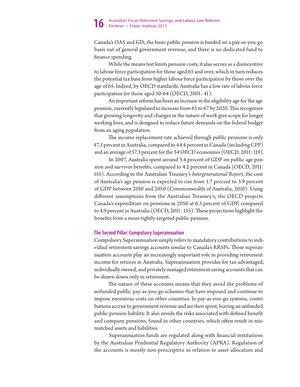Canada's OAS and GIS, the basic public pension is funded on a pay-as-you-go basis out of general government revenue, and there is no dedicated fund to finance spending.

While the means test limits pension costs, it also serves as a disincentive to labour force participation for those aged 65 and over, which in turn reduces the potential tax base from higher labour force participation by those over the age of 65. Indeed, by OECD standards, Australia has a low rate of labour force participation for those aged 50-64 (OECD, 2001: 41).

An important reform has been an increase in the eligibility age for the age pension, currently legislated to increase from 65 to 67 by 2020. This recognizes that growing longevity and changes in the nature of work give scope for longer working lives, and is designed to reduce future demands on the federal budget from an aging population.

The income replacement rate achieved through public pensions is only 47.3 percent in Australia, compared to 44.4 percent in Canada (including CPP) and an average of 57.3 percent for the 34 OECD economies (OECD, 2011: 119).

In 2007, Australia spent around 3.4 percent of GDP on public age pension and survivor benefits, compared to 4.2 percent in Canada (OECD, 2011: 155). According to the Australian Treasury's *Intergenerational Report*, the cost of Australia's age pension is expected to rise from 1.7 percent to 3.9 percent of GDP between 2010 and 2050 (Commonwealth of Australia, 2010). Using different assumptions from the Australian Treasury's, the OECD projects Canada's expenditure on pensions in 2050 at 6.3 percent of GDP, compared to 4.9 percent in Australia (OECD, 2011: 155). These projections highlight the benefits from a more tightly-targeted public pension.

#### **The Second Pillar: Compulsory Superannuation**

Compulsory Superannuation simply refers to mandatory contributions to individual retirement savings accounts similar to Canada's RRSPs. These superannuation accounts play an increasingly important role in providing retirement income for retirees in Australia. Superannuation provides for tax-advantaged, individually owned, and privately managed retirement saving accounts that can be drawn down only in retirement.

The nature of these accounts means that they avoid the problems of unfunded public pay-as-you-go schemes that have imposed and continue to impose enormous costs on other countries. In pay-as-you-go systems, contributions accrue to government revenue and are then spent, leaving an unfunded public pension liability. It also avoids the risks associated with defined benefit and company pensions, found in other countries, which often result in mismatched assets and liabilities.

Superannuation funds are regulated along with financial institutions by the Australian Prudential Regulatory Authority (APRA). Regulation of the accounts is mostly non-prescriptive in relation to asset allocation and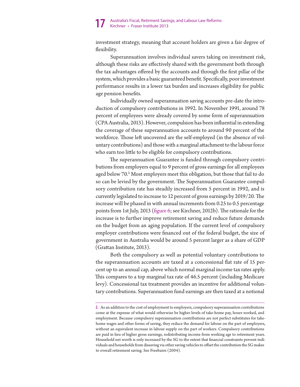investment strategy, meaning that account holders are given a fair degree of flexibility.

Superannuation involves individual savers taking on investment risk, although these risks are effectively shared with the government both through the tax advantages offered by the accounts and through the first pillar of the system, which provides a basic guaranteed benefit. Specifically, poor investment performance results in a lower tax burden and increases eligibility for public age pension benefits.

Individually owned superannuation saving accounts pre-date the introduction of compulsory contributions in 1992. In November 1991, around 78 percent of employees were already covered by some form of superannuation (CPA Australia, 2013). However, compulsion has been influential in extending the coverage of these superannuation accounts to around 90 percent of the workforce. Those left uncovered are the self-employed (in the absence of voluntary contributions) and those with a marginal attachment to the labour force who earn too little to be eligible for compulsory contributions.

The superannuation Guarantee is funded through compulsory contributions from employers equal to 9 percent of gross earnings for all employees aged below 70.<sup>2</sup> Most employers meet this obligation, but those that fail to do so can be levied by the government. The Superannuation Guarantee compulsory contribution rate has steadily increased from 5 percent in 1992, and is currently legislated to increase to 12 percent of gross earnings by 2019/20. The increase will be phased in with annual increments from 0.25 to 0.5 percentage points from 1st July, 2013 (figure 6; see Kirchner, 2012b). The rationale for the increase is to further improve retirement saving and reduce future demands on the budget from an aging population. If the current level of compulsory employer contributions were financed out of the federal budget, the size of government in Australia would be around 5 percent larger as a share of GDP (Grattan Institute, 2013).

Both the compulsory as well as potential voluntary contributions to the superannuation accounts are taxed at a concessional flat rate of 15 percent up to an annual cap, above which normal marginal income tax rates apply. This compares to a top marginal tax rate of 46.5 percent (including Medicare levy). Concessional tax treatment provides an incentive for additional voluntary contributions. Superannuation fund earnings are then taxed at a notional

**<sup>2.</sup>** As an addition to the cost of employment to employers, compulsory superannuation contributions come at the expense of what would otherwise be higher levels of take-home pay, hours worked, and employment. Because compulsory superannuation contributions are not perfect substitutes for takehome wages and other forms of saving, they reduce the demand for labour on the part of employers, without an equivalent increase in labour supply on the part of workers. Compulsory contributions are paid in lieu of higher gross earnings, redistributing income from working age to retirement years. Household net worth is only increased by the SG to the extent that financial constraints prevent individuals and households from dissaving via other saving vehicles to offset the contribution the SG makes to overall retirement saving. See Freebairn (2004).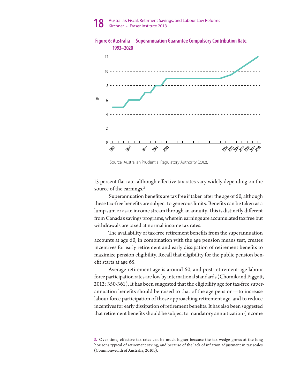





Source: Australian Prudential Regulatory Authority (2012).

15 percent flat rate, although effective tax rates vary widely depending on the source of the earnings.<sup>3</sup>

Superannuation benefits are tax free if taken after the age of 60, although these tax-free benefits are subject to generous limits. Benefits can be taken as a lump sum or as an income stream through an annuity. This is distinctly different from Canada's savings programs, wherein earnings are accumulated tax free but withdrawals are taxed at normal income tax rates.

The availability of tax-free retirement benefits from the superannuation accounts at age 60, in combination with the age pension means test, creates incentives for early retirement and early dissipation of retirement benefits to maximize pension eligibility. Recall that eligibility for the public pension benefit starts at age 65.

Average retirement age is around 60, and post-retirement-age labour force participation rates are low by international standards (Chomik and Piggott, 2012: 350-361). It has been suggested that the eligibility age for tax-free superannuation benefits should be raised to that of the age pension—to increase labour force participation of those approaching retirement age, and to reduce incentives for early dissipation of retirement benefits. It has also been suggested that retirement benefits should be subject to mandatory annuitization (income

**<sup>3.</sup>** Over time, effective tax rates can be much higher because the tax wedge grows at the long horizons typical of retirement saving, and because of the lack of inflation adjustment in tax scales (Commonwealth of Australia, 2010b).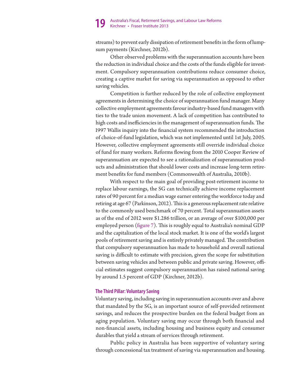streams) to prevent early dissipation of retirement benefits in the form of lumpsum payments (Kirchner, 2012b).

Other observed problems with the superannuation accounts have been the reduction in individual choice and the costs of the funds eligible for investment. Compulsory superannuation contributions reduce consumer choice, creating a captive market for saving via superannuation as opposed to other saving vehicles.

Competition is further reduced by the role of collective employment agreements in determining the choice of superannuation fund manager. Many collective employment agreements favour industry-based fund managers with ties to the trade union movement. A lack of competition has contributed to high costs and inefficiencies in the management of superannuation funds. The 1997 Wallis inquiry into the financial system recommended the introduction of choice-of-fund legislation, which was not implemented until 1st July, 2005. However, collective employment agreements still override individual choice of fund for many workers. Reforms flowing from the 2010 Cooper Review of superannuation are expected to see a rationalization of superannuation products and administration that should lower costs and increase long-term retirement benefits for fund members (Commonwealth of Australia, 2010b).

With respect to the main goal of providing post-retirement income to replace labour earnings, the SG can technically achieve income replacement rates of 90 percent for a median wage earner entering the workforce today and retiring at age 67 (Parkinson, 2012). This is a generous replacement rate relative to the commonly used benchmark of 70 percent. Total superannuation assets as of the end of 2012 were \$1.286 trillion, or an average of over \$100,000 per employed person (figure 7). This is roughly equal to Australia's nominal GDP and the capitalization of the local stock market. It is one of the world's largest pools of retirement saving and is entirely privately managed. The contribution that compulsory superannuation has made to household and overall national saving is difficult to estimate with precision, given the scope for substitution between saving vehicles and between public and private saving. However, official estimates suggest compulsory superannuation has raised national saving by around 1.5 percent of GDP (Kirchner, 2012b).

#### **The Third Pillar: Voluntary Saving**

Voluntary saving, including saving in superannuation accounts over and above that mandated by the SG, is an important source of self-provided retirement savings, and reduces the prospective burden on the federal budget from an aging population. Voluntary saving may occur through both financial and non-financial assets, including housing and business equity and consumer durables that yield a stream of services through retirement.

Public policy in Australia has been supportive of voluntary saving through concessional tax treatment of saving via superannuation and housing.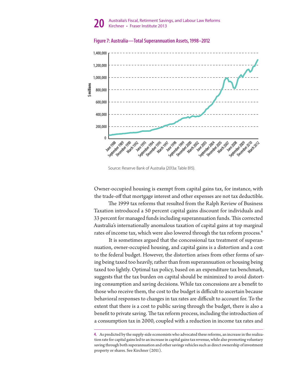





Source: Reserve Bank of Australia (2013a: Table B15).

Owner-occupied housing is exempt from capital gains tax, for instance, with the trade-off that mortgage interest and other expenses are not tax deductible.

The 1999 tax reforms that resulted from the Ralph Review of Business Taxation introduced a 50 percent capital gains discount for individuals and 33 percent for managed funds including superannuation funds. This corrected Australia's internationally anomalous taxation of capital gains at top marginal rates of income tax, which were also lowered through the tax reform process.<sup>4</sup>

It is sometimes argued that the concessional tax treatment of superannuation, owner-occupied housing, and capital gains is a distortion and a cost to the federal budget. However, the distortion arises from other forms of saving being taxed too heavily, rather than from superannuation or housing being taxed too lightly. Optimal tax policy, based on an expenditure tax benchmark, suggests that the tax burden on capital should be minimized to avoid distorting consumption and saving decisions. While tax concessions are a benefit to those who receive them, the cost to the budget is difficult to ascertain because behavioral responses to changes in tax rates are difficult to account for. To the extent that there is a cost to public saving through the budget, there is also a benefit to private saving. The tax reform process, including the introduction of a consumption tax in 2000, coupled with a reduction in income tax rates and

**<sup>4.</sup>** As predicted by the supply-side economists who advocated these reforms, an increase in the realization rate for capital gains led to an increase in capital gains tax revenue, while also promoting voluntary saving through both superannuation and other savings vehicles such as direct ownership of investment property or shares. See Kirchner (2011).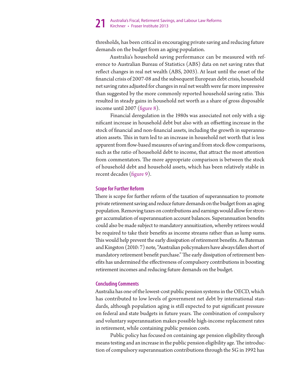thresholds, has been critical in encouraging private saving and reducing future demands on the budget from an aging population.

Australia's household saving performance can be measured with reference to Australian Bureau of Statistics (ABS) data on net saving rates that reflect changes in real net wealth (ABS, 2003). At least until the onset of the financial crisis of 2007-08 and the subsequent European debt crisis, household net saving rates adjusted for changes in real net wealth were far more impressive than suggested by the more commonly reported household saving ratio. This resulted in steady gains in household net worth as a share of gross disposable income until 2007 (figure 8).

Financial deregulation in the 1980s was associated not only with a significant increase in household debt but also with an offsetting increase in the stock of financial and non-financial assets, including the growth in superannuation assets. This in turn led to an increase in household net worth that is less apparent from flow-based measures of saving and from stock-flow comparisons, such as the ratio of household debt to income, that attract the most attention from commentators. The more appropriate comparison is between the stock of household debt and household assets, which has been relatively stable in recent decades (figure 9).

#### **Scope for Further Reform**

There is scope for further reform of the taxation of superannuation to promote private retirement saving and reduce future demands on the budget from an aging population. Removing taxes on contributions and earnings would allow for stronger accumulation of superannuation account balances. Superannuation benefits could also be made subject to mandatory annuitization, whereby retirees would be required to take their benefits as income streams rather than as lump sums. This would help prevent the early dissipation of retirement benefits. As Bateman and Kingston (2010: 7) note, "Australian policymakers have always fallen short of mandatory retirement benefit purchase." The early dissipation of retirement benefits has undermined the effectiveness of compulsory contributions in boosting retirement incomes and reducing future demands on the budget.

#### **Concluding Comments**

Australia has one of the lowest-cost public pension systems in the OECD, which has contributed to low levels of government net debt by international standards, although population aging is still expected to put significant pressure on federal and state budgets in future years. The combination of compulsory and voluntary superannuation makes possible high-income replacement rates in retirement, while containing public pension costs.

Public policy has focused on containing age pension eligibility through means testing and an increase in the public pension eligibility age. The introduction of compulsory superannuation contributions through the SG in 1992 has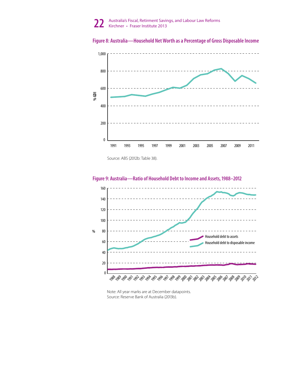









Note: All year marks are at December datapoints. Source: Reserve Bank of Australia (2013b).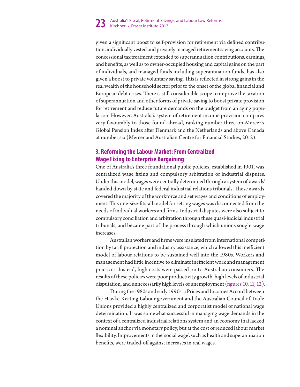given a significant boost to self-provision for retirement via defined contribution, individually vested and privately managed retirement saving accounts. The concessional tax treatment extended to superannuation contributions, earnings, and benefits, as well as to owner-occupied housing and capital gains on the part of individuals, and managed funds including superannuation funds, has also given a boost to private voluntary saving. This is reflected in strong gains in the real wealth of the household sector prior to the onset of the global financial and European debt crises. There is still considerable scope to improve the taxation of superannuation and other forms of private saving to boost private provision for retirement and reduce future demands on the budget from an aging population. However, Australia's system of retirement income provision compares very favourably to those found abroad, ranking number three on Mercer's Global Pension Index after Denmark and the Netherlands and above Canada at number six (Mercer and Australian Centre for Financial Studies, 2012).

### **3. Reforming the Labour Market: From Centralized Wage Fixing to Enterprise Bargaining**

One of Australia's three foundational public policies, established in 1901, was centralized wage fixing and compulsory arbitration of industrial disputes. Under this model, wages were centrally determined through a system of 'awards' handed down by state and federal industrial relations tribunals. These awards covered the majority of the workforce and set wages and conditions of employment. This one-size-fits-all model for setting wages was disconnected from the needs of individual workers and firms. Industrial disputes were also subject to compulsory conciliation and arbitration through these quasi-judicial industrial tribunals, and became part of the process through which unions sought wage increases.

Australian workers and firms were insulated from international competition by tariff protection and industry assistance, which allowed this inefficient model of labour relations to be sustained well into the 1980s. Workers and management had little incentive to eliminate inefficient work and management practices. Instead, high costs were passed on to Australian consumers. The results of these policies were poor productivity growth, high levels of industrial disputation, and unnecessarily high levels of unemployment (figures 10, 11, 12).

During the 1980s and early 1990s, a Prices and Incomes Accord between the Hawke-Keating Labour government and the Australian Council of Trade Unions provided a highly centralized and corporatist model of national wage determination. It was somewhat successful in managing wage demands in the context of a centralized industrial relations system and an economy that lacked a nominal anchor via monetary policy, but at the cost of reduced labour market flexibility. Improvements in the 'social wage', such as health and superannuation benefits, were traded-off against increases in real wages.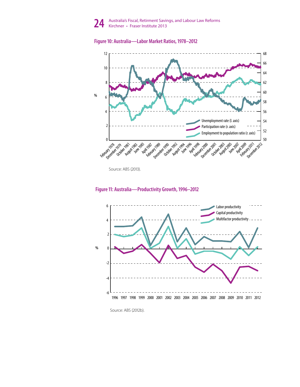





Source: ABS (2013).

#### Figure 11: Australia-Productivity Growth, 1996-2012



Source: ABS (2012b).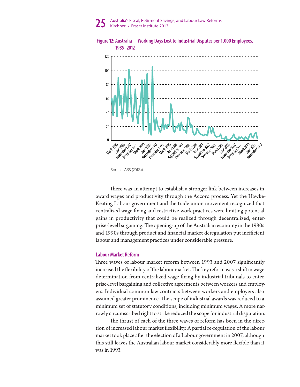





Source: ABS (2012a).

There was an attempt to establish a stronger link between increases in award wages and productivity through the Accord process. Yet the Hawke-Keating Labour government and the trade union movement recognized that centralized wage fixing and restrictive work practices were limiting potential gains in productivity that could be realized through decentralized, enterprise-level bargaining. The opening-up of the Australian economy in the 1980s and 1990s through product and financial market deregulation put inefficient labour and management practices under considerable pressure.

#### **Labour Market Reform**

Three waves of labour market reform between 1993 and 2007 significantly increased the flexibility of the labour market. The key reform was a shift in wage determination from centralized wage fixing by industrial tribunals to enterprise-level bargaining and collective agreements between workers and employers. Individual common law contracts between workers and employers also assumed greater prominence. The scope of industrial awards was reduced to a minimum set of statutory conditions, including minimum wages. A more narrowly circumscribed right to strike reduced the scope for industrial disputation.

The thrust of each of the three waves of reform has been in the direction of increased labour market flexibility. A partial re-regulation of the labour market took place after the election of a Labour government in 2007, although this still leaves the Australian labour market considerably more flexible than it was in 1993.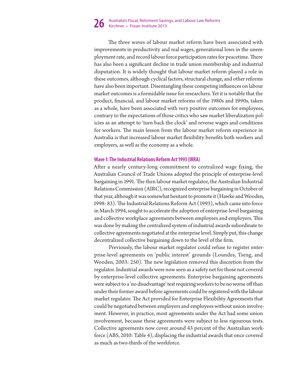The three waves of labour market reform have been associated with improvements in productivity and real wages, generational lows in the unemployment rate, and record labour force participation rates for peacetime. There has also been a significant decline in trade union membership and industrial disputation. It is widely thought that labour market reform played a role in these outcomes, although cyclical factors, structural change, and other reforms have also been important. Disentangling these competing influences on labour market outcomes is a formidable issue for researchers. Yet it is notable that the product, financial, and labour market reforms of the 1980s and 1990s, taken as a whole, have been associated with very positive outcomes for employees, contrary to the expectations of those critics who saw market liberalization policies as an attempt to 'turn back the clock' and reverse wages and conditions for workers. The main lesson from the labour market reform experience in Australia is that increased labour market flexibility benefits both workers and employers, as well as the economy as a whole.

#### **Wave 1: The Industrial Relations Reform Act 1993 (IRRA)**

After a nearly century-long commitment to centralized wage fixing, the Australian Council of Trade Unions adopted the principle of enterprise-level bargaining in 1991. The then labour market regulator, the Australian Industrial Relations Commission (AIRC), recognized enterprise bargaining in October of that year, although it was somewhat hesitant to promote it (Hawke and Wooden, 1998: 83). The Industrial Relations Reform Act (1993), which came into force in March 1994, sought to accelerate the adoption of enterprise-level bargaining and collective workplace agreements between employees and employers. This was done by making the centralized system of industrial awards subordinate to collective agreements negotiated at the enterprise level. Simply put, this change decentralized collective bargaining down to the level of the firm.

Previously, the labour market regulator could refuse to register enterprise-level agreements on 'public interest' grounds (Loundes, Tseng, and Wooden, 2003: 250). The new legislation removed this discretion from the regulator. Industrial awards were now seen as a safety net for those not covered by enterprise-level collective agreements. Enterprise bargaining agreements were subject to a 'no disadvantage' test requiring workers to be no worse off than under their former award before agreements could be registered with the labour market regulator. The Act provided for Enterprise Flexibility Agreements that could be negotiated between employers and employees without union involvement. However, in practice, most agreements under the Act had some union involvement, because these agreements were subject to less rigourous tests. Collective agreements now cover around 43 percent of the Australian workforce (ABS, 2010: Table 4), displacing the industrial awards that once covered as much as two-thirds of the workforce.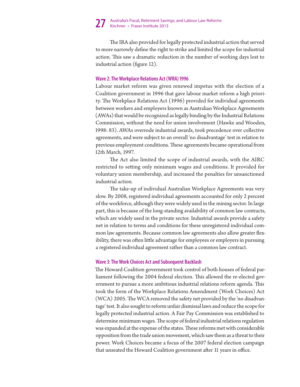The IRA also provided for legally protected industrial action that served to more narrowly define the right to strike and limited the scope for industrial action. This saw a dramatic reduction in the number of working days lost to industrial action (figure 12).

#### **Wave 2: The Workplace Relations Act (WRA) 1996**

Labour market reform was given renewed impetus with the election of a Coalition government in 1996 that gave labour market reform a high priority. The Workplace Relations Act (1996) provided for individual agreements between workers and employers known as Australian Workplace Agreements (AWAs) that would be recognized as legally binding by the Industrial Relations Commission, without the need for union involvement (Hawke and Wooden, 1998: 83). AWAs overrode industrial awards, took precedence over collective agreements, and were subject to an overall 'no disadvantage' test in relation to previous employment conditions. These agreements became operational from 12th March, 1997.

The Act also limited the scope of industrial awards, with the AIRC restricted to setting only minimum wages and conditions. It provided for voluntary union membership, and increased the penalties for unsanctioned industrial action.

The take-up of individual Australian Workplace Agreements was very slow. By 2008, registered individual agreements accounted for only 2 percent of the workforce, although they were widely used in the mining sector. In large part, this is because of the long-standing availability of common law contracts, which are widely used in the private sector. Industrial awards provide a safety net in relation to terms and conditions for these unregistered individual common law agreements. Because common law agreements also allow greater flexibility, there was often little advantage for employees or employers in pursuing a registered individual agreement rather than a common law contract.

#### **Wave 3: The Work Choices Act and Subsequent Backlash**

The Howard Coalition government took control of both houses of federal parliament following the 2004 federal election. This allowed the re-elected government to pursue a more ambitious industrial relations reform agenda. This took the form of the Workplace Relations Amendment (Work Choices) Act (WCA) 2005. The WCA removed the safety net provided by the 'no disadvantage' test. It also sought to reform unfair dismissal laws and reduce the scope for legally protected industrial action. A Fair Pay Commission was established to determine minimum wages. The scope of federal industrial relations regulation was expanded at the expense of the states. These reforms met with considerable opposition from the trade union movement, which saw them as a threat to their power. Work Choices became a focus of the 2007 federal election campaign that unseated the Howard Coalition government after 11 years in office.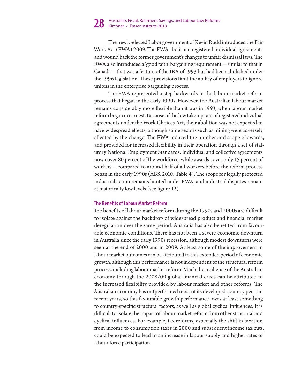The newly-elected Labor government of Kevin Rudd introduced the Fair Work Act (FWA) 2009. The FWA abolished registered individual agreements and wound back the former government's changes to unfair dismissal laws. The FWA also introduced a 'good faith' bargaining requirement—similar to that in Canada—that was a feature of the IRA of 1993 but had been abolished under the 1996 legislation. These provisions limit the ability of employers to ignore unions in the enterprise bargaining process.

The FWA represented a step backwards in the labour market reform process that began in the early 1990s. However, the Australian labour market remains considerably more flexible than it was in 1993, when labour market reform began in earnest. Because of the low take-up rate of registered individual agreements under the Work Choices Act, their abolition was not expected to have widespread effects, although some sectors such as mining were adversely affected by the change. The FWA reduced the number and scope of awards, and provided for increased flexibility in their operation through a set of statutory National Employment Standards. Individual and collective agreements now cover 80 percent of the workforce, while awards cover only 15 percent of workers—compared to around half of all workers before the reform process began in the early 1990s (ABS, 2010: Table 4). The scope for legally protected industrial action remains limited under FWA, and industrial disputes remain at historically low levels (see figure 12).

#### **The Benefits of Labour Market Reform**

The benefits of labour market reform during the 1990s and 2000s are difficult to isolate against the backdrop of widespread product and financial market deregulation over the same period. Australia has also benefited from favourable economic conditions. There has not been a severe economic downturn in Australia since the early 1990s recession, although modest downturns were seen at the end of 2000 and in 2009. At least some of the improvement in labour market outcomes can be attributed to this extended period of economic growth, although this performance is not independent of the structural reform process, including labour market reform. Much the resilience of the Australian economy through the 2008/09 global financial crisis can be attributed to the increased flexibility provided by labour market and other reforms. The Australian economy has outperformed most of its developed-country peers in recent years, so this favourable growth performance owes at least something to country-specific structural factors, as well as global cyclical influences. It is difficult to isolate the impact of labour market reform from other structural and cyclical influences. For example, tax reforms, especially the shift in taxation from income to consumption taxes in 2000 and subsequent income tax cuts, could be expected to lead to an increase in labour supply and higher rates of labour force participation.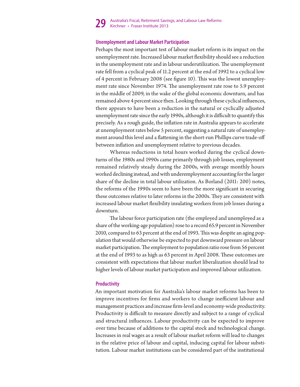

#### **Unemployment and Labour Market Participation**

Perhaps the most important test of labour market reform is its impact on the unemployment rate. Increased labour market flexibility should see a reduction in the unemployment rate and in labour underutilization. The unemployment rate fell from a cyclical peak of 11.2 percent at the end of 1992 to a cyclical low of 4 percent in February 2008 (see figure 10). This was the lowest unemployment rate since November 1974. The unemployment rate rose to 5.9 percent in the middle of 2009, in the wake of the global economic downturn, and has remained above 4 percent since then. Looking through these cyclical influences, there appears to have been a reduction in the natural or cyclically adjusted unemployment rate since the early 1990s, although it is difficult to quantify this precisely. As a rough guide, the inflation rate in Australia appears to accelerate at unemployment rates below 5 percent, suggesting a natural rate of unemployment around this level and a flattening in the short-run Phillips curve trade-off between inflation and unemployment relative to previous decades.

Whereas reductions in total hours worked during the cyclical downturns of the 1980s and 1990s came primarily through job losses, employment remained relatively steady during the 2000s, with average monthly hours worked declining instead, and with underemployment accounting for the larger share of the decline in total labour utilization. As Borland (2011: 200) notes, the reforms of the 1990s seem to have been the more significant in securing these outcomes relative to later reforms in the 2000s. They are consistent with increased labour market flexibility insulating workers from job losses during a downturn.

The labour force participation rate (the employed and unemployed as a share of the working-age population) rose to a record 65.9 percent in November 2010, compared to 63 percent at the end of 1993. This was despite an aging population that would otherwise be expected to put downward pressure on labour market participation. The employment to population ratio rose from 56 percent at the end of 1993 to as high as 63 percent in April 2008. These outcomes are consistent with expectations that labour market liberalization should lead to higher levels of labour market participation and improved labour utilization.

#### **Productivity**

An important motivation for Australia's labour market reforms has been to improve incentives for firms and workers to change inefficient labour and management practices and increase firm-level and economy-wide productivity. Productivity is difficult to measure directly and subject to a range of cyclical and structural influences. Labour productivity can be expected to improve over time because of additions to the capital stock and technological change. Increases in real wages as a result of labour market reform will lead to changes in the relative price of labour and capital, inducing capital for labour substitution. Labour market institutions can be considered part of the institutional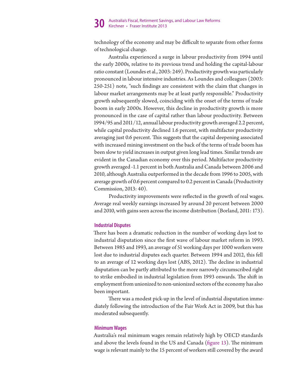technology of the economy and may be difficult to separate from other forms of technological change.

Australia experienced a surge in labour productivity from 1994 until the early 2000s, relative to its previous trend and holding the capital-labour ratio constant (Loundes et al., 2003: 249). Productivity growth was particularly pronounced in labour intensive industries. As Loundes and colleagues (2003: 250-251) note, "such findings are consistent with the claim that changes in labour market arrangements may be at least partly responsible." Productivity growth subsequently slowed, coinciding with the onset of the terms of trade boom in early 2000s. However, this decline in productivity growth is more pronounced in the case of capital rather than labour productivity. Between 1994/95 and 2011/12, annual labour productivity growth averaged 2.2 percent, while capital productivity declined 1.6 percent, with multifactor productivity averaging just 0.6 percent. This suggests that the capital deepening associated with increased mining investment on the back of the terms of trade boom has been slow to yield increases in output given long lead times. Similar trends are evident in the Canadian economy over this period. Multifactor productivity growth averaged -1.1 percent in both Australia and Canada between 2006 and 2010, although Australia outperformed in the decade from 1996 to 2005, with average growth of 0.6 percent compared to 0.2 percent in Canada (Productivity Commission, 2013: 40).

Productivity improvements were reflected in the growth of real wages. Average real weekly earnings increased by around 20 percent between 2000 and 2010, with gains seen across the income distribution (Borland, 2011: 173).

#### **Industrial Disputes**

There has been a dramatic reduction in the number of working days lost to industrial disputation since the first wave of labour market reform in 1993. Between 1985 and 1993, an average of 51 working days per 1000 workers were lost due to industrial disputes each quarter. Between 1994 and 2012, this fell to an average of 12 working days lost (ABS, 2012). The decline in industrial disputation can be partly attributed to the more narrowly circumscribed right to strike embodied in industrial legislation from 1993 onwards. The shift in employment from unionized to non-unionized sectors of the economy has also been important.

There was a modest pick-up in the level of industrial disputation immediately following the introduction of the Fair Work Act in 2009, but this has moderated subsequently.

#### **Minimum Wages**

Australia's real minimum wages remain relatively high by OECD standards and above the levels found in the US and Canada (figure 13). The minimum wage is relevant mainly to the 15 percent of workers still covered by the award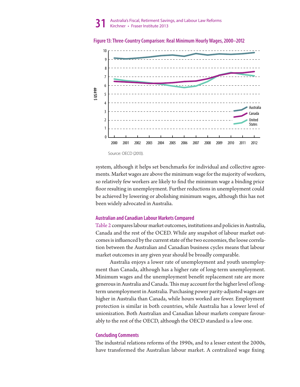



**Figure 13: Three-Country Comparison: Real Minimum Hourly Wages, 2000–2012** 

system, although it helps set benchmarks for individual and collective agreements. Market wages are above the minimum wage for the majority of workers, so relatively few workers are likely to find the minimum wage a binding price floor resulting in unemployment. Further reductions in unemployment could be achieved by lowering or abolishing minimum wages, although this has not been widely advocated in Australia.

#### **Australian and Canadian Labour Markets Compared**

Table 2 compares labour market outcomes, institutions and policies in Australia, Canada and the rest of the OCED. While any snapshot of labour market outcomes is influenced by the current state of the two economies, the loose correlation between the Australian and Canadian business cycles means that labour market outcomes in any given year should be broadly comparable.

Australia enjoys a lower rate of unemployment and youth unemployment than Canada, although has a higher rate of long-term unemployment. Minimum wages and the unemployment benefit replacement rate are more generous in Australia and Canada. This may account for the higher level of longterm unemployment in Australia. Purchasing power parity-adjusted wages are higher in Australia than Canada, while hours worked are fewer. Employment protection is similar in both countries, while Australia has a lower level of unionization. Both Australian and Canadian labour markets compare favourably to the rest of the OECD, although the OECD standard is a low one.

#### **Concluding Comments**

The industrial relations reforms of the 1990s, and to a lesser extent the 2000s, have transformed the Australian labour market. A centralized wage fixing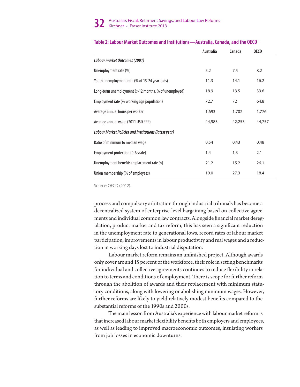|                                                       | Australia | Canada | <b>OECD</b> |
|-------------------------------------------------------|-----------|--------|-------------|
| Labour market Outcomes (2001)                         |           |        |             |
| Unemployment rate (%)                                 | 5.2       | 7.5    | 8.2         |
| Youth unemployment rate (% of 15-24 year-olds)        | 11.3      | 14.1   | 16.2        |
| Long-term unemployment (>12 months, % of unemployed)  | 18.9      | 13.5   | 33.6        |
| Employment rate (% working age population)            | 72.7      | 72     | 64.8        |
| Average annual hours per worker                       | 1,693     | 1,702  | 1,776       |
| Average annual wage (2011 USD PPP)                    | 44,983    | 42,253 | 44,757      |
| Labour Market Policies and Institutions (latest year) |           |        |             |
| Ratio of minimum to median wage                       | 0.54      | 0.43   | 0.48        |
| Employment protection (0-6 scale)                     | 1.4       | 1.3    | 2.1         |
| Unemployment benefits (replacement rate %)            | 21.2      | 15.2   | 26.1        |
| Union membership (% of employees)                     | 19.0      | 27.3   | 18.4        |

#### **Table 2: Labour Market Outcomes and Institutions—Australia, Canada, and the OECD**

Source: OECD (2012).

process and compulsory arbitration through industrial tribunals has become a decentralized system of enterprise-level bargaining based on collective agreements and individual common law contracts. Alongside financial market deregulation, product market and tax reform, this has seen a significant reduction in the unemployment rate to generational lows, record rates of labour market participation, improvements in labour productivity and real wages and a reduction in working days lost to industrial disputation.

Labour market reform remains an unfinished project. Although awards only cover around 15 percent of the workforce, their role in setting benchmarks for individual and collective agreements continues to reduce flexibility in relation to terms and conditions of employment. There is scope for further reform through the abolition of awards and their replacement with minimum statutory conditions, along with lowering or abolishing minimum wages. However, further reforms are likely to yield relatively modest benefits compared to the substantial reforms of the 1990s and 2000s.

The main lesson from Australia's experience with labour market reform is that increased labour market flexibility benefits both employers and employees, as well as leading to improved macroeconomic outcomes, insulating workers from job losses in economic downturns.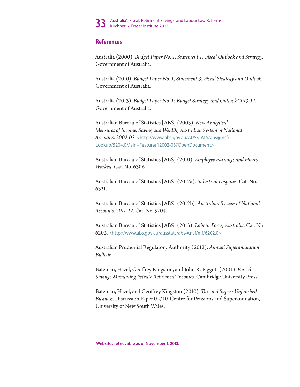

#### **References**

Australia (2000). *Budget Paper No. 1, Statement 1: Fiscal Outlook and Strategy.*  Government of Australia.

Australia (2010). *Budget Paper No. 1, Statement 3: Fiscal Strategy and Outlook.*  Government of Australia.

Australia (2013). *Budget Paper No. 1: Budget Strategy and Outlook 2013‑14.*  Government of Australia.

Australian Bureau of Statistics [ABS] (2003). *New Analytical Measures of Income, Saving and Wealth, Australian System of National Accounts, 2002-03.* <http://www.abs.gov.au/AUSSTATS/abs@.nsf/ Lookup/5204.0Main+Features12002-03?OpenDocument>

Australian Bureau of Statistics [ABS] (2010). *Employee Earnings and Hours Worked*. Cat. No. 6306.

Australian Bureau of Statistics [ABS] (2012a). *Industrial Disputes*. Cat. No. 6321.

Australian Bureau of Statistics [ABS] (2012b). *Australian System of National Accounts, 2011-12.* Cat. No. 5204.

Australian Bureau of Statistics [ABS] (2013). *Labour Force, Australia*. Cat. No. 6202. <http://www.abs.gov.au/ausstats/abs@.nsf/mf/6202.0>

Australian Prudential Regulatory Authority (2012). *Annual Superannuation Bulletin*.

Bateman, Hazel, Geoffrey Kingston, and John R. Piggott (2001). *Forced Saving: Mandating Private Retirement Incomes*. Cambridge University Press.

Bateman, Hazel, and Geoffrey Kingston (2010). *Tax and Super: Unfinished Business*. Discussion Paper 02/10. Centre for Pensions and Superannuation, University of New South Wales.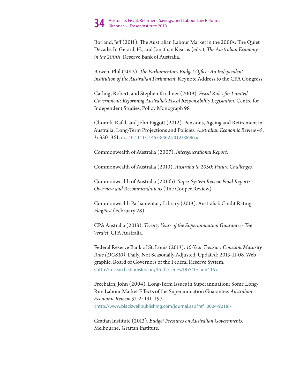

Borland, Jeff (2011). The Australian Labour Market in the 2000s: The Quiet Decade. In Gerard, H., and Jonathan Kearns (eds.), *The Australian Economy in the 2000s*. Reserve Bank of Australia.

Bowen, Phil (2012). *The Parliamentary Budget Office: An Independent Institution of the Australian Parliament.* Keynote Address to the CPA Congress.

Carling, Robert, and Stephen Kirchner (2009). *Fiscal Rules for Limited Government: Reforming Australia's Fiscal Responsibility Legislation*. Centre for Independent Studies, Policy Monograph 98.

Chomik, Rafal, and John Piggott (2012). Pensions, Ageing and Retirement in Australia: Long-Term Projections and Policies. *Australian Economic Review* 45, 3: 350–361. doi:10.1111/j.1467-8462.2012.00696.x

Commonwealth of Australia (2007). *Intergenerational Report*.

Commonwealth of Australia (2010). *Australia to 2050: Future Challenges.*

Commonwealth of Australia (2010b). *Super System Review Final Report: Overview and Recommendations* (The Cooper Review).

Commonwealth Parliamentary Library (2013). Australia's Credit Rating. *FlagPost* (February 28).

CPA Australia (2013). *Twenty Years of the Superannuation Guarantee: The Verdict*. CPA Australia.

Federal Reserve Bank of St. Louis (2013). *10-Year Treasury Constant Maturity Rate (DGS10)*. Daily, Not Seasonally Adjusted, Updated: 2013-11-08. Web graphic. Board of Governors of the Federal Reserve System. <http://research.stlouisfed.org/fred2/series/DGS10?cid=115>

Freebairn, John (2004). Long-Term Issues in Superannuation: Some Long-Run Labour Market Effects of the Superannuation Guarantee. *Australian Economic Review* 37, 2: 191–197. <http://www.blackwellpublishing.com/journal.asp?ref=0004-9018>

Grattan Institute (2013). *Budget Pressures on Australian Governments*. Melbourne: Grattan Institute.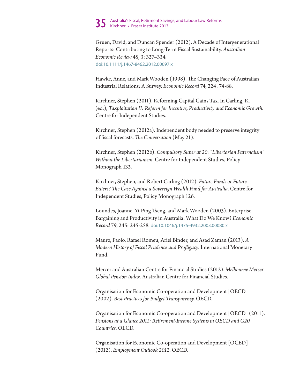

Gruen, David, and Duncan Spender (2012). A Decade of Intergenerational Reports: Contributing to Long-Term Fiscal Sustainability. *Australian Economic Review* 45, 3: 327–334. doi:10.1111/j.1467-8462.2012.00697.x

Hawke, Anne, and Mark Wooden (1998). The Changing Face of Australian Industrial Relations: A Survey. *Economic Record* 74, 224: 74-88.

Kirchner, Stephen (2011). Reforming Capital Gains Tax. In Carling, R. (ed.), *Taxploitation II: Reform for Incentive, Productivity and Economic Growth*. Centre for Independent Studies.

Kirchner, Stephen (2012a). Independent body needed to preserve integrity of fiscal forecasts. *The Conversation* (May 21).

Kirchner, Stephen (2012b). *Compulsory Super at 20: "Libertarian Paternalism" Without the Libertarianism*. Centre for Independent Studies, Policy Monograph 132.

Kirchner, Stephen, and Robert Carling (2012). *Future Funds or Future Eaters? The Case Against a Sovereign Wealth Fund for Australia*. Centre for Independent Studies, Policy Monograph 126.

Loundes, Joanne, Yi-Ping Tseng, and Mark Wooden (2003). Enterprise Bargaining and Productivity in Australia: What Do We Know? *Economic Record* 79, 245: 245-258. doi:10.1046/j.1475-4932.2003.00080.x

Mauro, Paolo, Rafael Romeu, Ariel Binder, and Asad Zaman (2013). *A Modern History of Fiscal Prudence and Profligacy*. International Monetary Fund.

Mercer and Australian Centre for Financial Studies (2012). *Melbourne Mercer Global Pension Index*. Australian Centre for Financial Studies.

Organisation for Economic Co-operation and Development [OECD] (2002). *Best Practices for Budget Transparency.* OECD.

Organisation for Economic Co-operation and Development [OECD] (2011). *Pensions at a Glance 2011: Retirement-Income Systems in OECD and G20 Countries*. OECD.

Organisation for Economic Co-operation and Development [OCED] (2012). *Employment Outlook 2012*. OECD.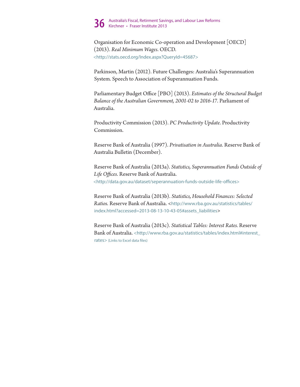

Organisation for Economic Co-operation and Development [OECD] (2013). *Real Minimum Wages*. OECD. <http://stats.oecd.org/Index.aspx?QueryId=45687>

Parkinson, Martin (2012). Future Challenges: Australia's Superannuation System. Speech to Association of Superannuation Funds.

Parliamentary Budget Office [PBO] (2013). *Estimates of the Structural Budget Balance of the Australian Government, 2001-02 to 2016-17*. Parliament of Australia.

Productivity Commission (2013). *PC Productivity Update*. Productivity Commission.

Reserve Bank of Australia (1997). *Privatisation in Australia*. Reserve Bank of Australia Bulletin (December).

Reserve Bank of Australia (2013a). *Statistics, Superannuation Funds Outside of Life Offices*. Reserve Bank of Australia. <http://data.gov.au/dataset/seperannuation-funds-outside-life-offices>

Reserve Bank of Australia (2013b). *Statistics, Household Finances: Selected Ratios.* Reserve Bank of Australia. <http://www.rba.gov.au/statistics/tables/ index.html?accessed=2013-08-13-10-43-05#assets\_liabilities>

Reserve Bank of Australia (2013c). *Statistical Tables: Interest Rates.* Reserve Bank of Australia. <http://www.rba.gov.au/statistics/tables/index.html#interest\_ rates> (Links to Excel data files)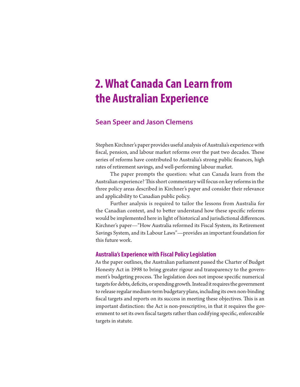## **2. What Canada Can Learn from the Australian Experience**

### **Sean Speer and Jason Clemens**

Stephen Kirchner's paper provides useful analysis of Australia's experience with fiscal, pension, and labour market reforms over the past two decades. These series of reforms have contributed to Australia's strong public finances, high rates of retirement savings, and well-performing labour market.

The paper prompts the question: what can Canada learn from the Australian experience? This short commentary will focus on key reforms in the three policy areas described in Kirchner's paper and consider their relevance and applicability to Canadian public policy.

Further analysis is required to tailor the lessons from Australia for the Canadian context, and to better understand how these specific reforms would be implemented here in light of historical and jurisdictional differences. Kirchner's paper—"How Australia reformed its Fiscal System, its Retirement Savings System, and its Labour Laws"—provides an important foundation for this future work.

#### **Australia's Experience with Fiscal Policy Legislation**

As the paper outlines, the Australian parliament passed the Charter of Budget Honesty Act in 1998 to bring greater rigour and transparency to the government's budgeting process. The legislation does not impose specific numerical targets for debts, deficits, or spending growth. Instead it requires the government to release regular medium-term budgetary plans, including its own non-binding fiscal targets and reports on its success in meeting these objectives. This is an important distinction: the Act is non-prescriptive, in that it requires the government to set its own fiscal targets rather than codifying specific, enforceable targets in statute.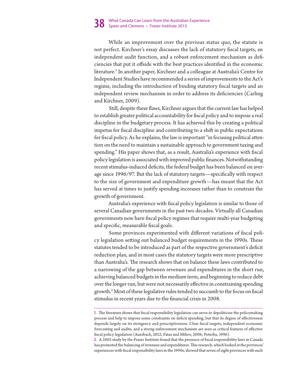## 38 What Canada Can Learn from the Australian Experience Speer and Clemens • Fraser Institute 2013

While an improvement over the previous status quo, the statute is not perfect. Kirchner's essay discusses the lack of statutory fiscal targets, an independent audit function, and a robust enforcement mechanism as deficiencies that put it offside with the best practices identified in the economic literature.<sup>1</sup> In another paper, Kirchner and a colleague at Australia's Centre for Independent Studies have recommended a series of improvements to the Act's regime, including the introduction of binding statutory fiscal targets and an independent review mechanism in order to address its deficiencies (Carling and Kirchner, 2009).

Still, despite these flaws, Kirchner argues that the current law has helped to establish greater political accountability for fiscal policy and to impose a real discipline in the budgetary process. It has achieved this by creating a political impetus for fiscal discipline and contributing to a shift in public expectations for fiscal policy. As he explains, the law is important "in focusing political attention on the need to maintain a sustainable approach to government taxing and spending." His paper shows that, as a result, Australia's experience with fiscal policy legislation is associated with improved public finances. Notwithstanding recent stimulus-induced deficits, the federal budget has been balanced on average since 1996/97. But the lack of statutory targets—specifically with respect to the size of government and expenditure growth—has meant that the Act has served at times to justify spending increases rather than to constrain the growth of government.

Australia's experience with fiscal policy legislation is similar to those of several Canadian governments in the past two decades. Virtually all Canadian governments now have fiscal policy regimes that require multi-year budgeting and specific, measurable fiscal goals.

Some provinces experimented with different variations of fiscal policy legislation setting out balanced budget requirements in the 1990s. These statutes tended to be introduced as part of the respective government's deficit reduction plan, and in most cases the statutory targets were more prescriptive than Australia's. The research shows that on balance these laws contributed to a narrowing of the gap between revenues and expenditures in the short run, achieving balanced budgets in the medium term, and beginning to reduce debt over the longer run, but were not necessarily effective in constraining spending growth.<sup>2</sup> Most of these legislative rules tended to succumb to the focus on fiscal stimulus in recent years due to the financial crisis in 2008.

**<sup>1.</sup>** The literature shows that fiscal responsibility legislation can serve to depoliticize the policymaking process and help to impose some constraints on deficit spending, but that its degree of effectiveness depends largely on its stringency and prescriptiveness. Clear fiscal targets, independent economic forecasting and audits, and a strong enforcement mechanism are seen as critical features of effective fiscal policy legislation (Auerbach, 2012; Fatas and Mihov, 2006; Poterba, 1996).

**<sup>2.</sup>** A 2003 study by the Fraser Institute found that the presence of fiscal responsibility laws in Canada has promoted the balancing of revenues and expenditures. This research, which looked at the provinces' experiences with fiscal responsibility laws in the 1990s, showed that seven of eight provinces with such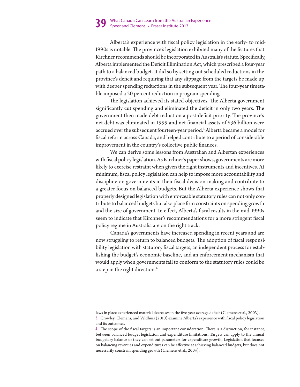#### **39** What Canada Can Learn from the Australian Experience Speer and Clemens • Fraser Institute 2013

Alberta's experience with fiscal policy legislation in the early- to mid-1990s is notable. The province's legislation exhibited many of the features that Kirchner recommends should be incorporated in Australia's statute. Specifically, Alberta implemented the Deficit Elimination Act, which prescribed a four-year path to a balanced budget. It did so by setting out scheduled reductions in the province's deficit and requiring that any slippage from the targets be made up with deeper spending reductions in the subsequent year. The four-year timetable imposed a 20 percent reduction in program spending.

The legislation achieved its stated objectives. The Alberta government significantly cut spending and eliminated the deficit in only two years. The government then made debt reduction a post-deficit priority. The province's net debt was eliminated in 1999 and net financial assets of \$36 billion were accrued over the subsequent fourteen-year period.<sup>3</sup> Alberta became a model for fiscal reform across Canada, and helped contribute to a period of considerable improvement in the country's collective public finances.

We can derive some lessons from Australian and Albertan experiences with fiscal policy legislation. As Kirchner's paper shows, governments are more likely to exercise restraint when given the right instruments and incentives. At minimum, fiscal policy legislation can help to impose more accountability and discipline on governments in their fiscal decision-making and contribute to a greater focus on balanced budgets. But the Alberta experience shows that properly designed legislation with enforceable statutory rules can not only contribute to balanced budgets but also place firm constraints on spending growth and the size of government. In effect, Alberta's fiscal results in the mid-1990s seem to indicate that Kirchner's recommendations for a more stringent fiscal policy regime in Australia are on the right track.

Canada's governments have increased spending in recent years and are now struggling to return to balanced budgets. The adoption of fiscal responsibility legislation with statutory fiscal targets, an independent process for establishing the budget's economic baseline, and an enforcement mechanism that would apply when governments fail to conform to the statutory rules could be a step in the right direction.<sup>4</sup>

laws in place experienced material decreases in the five-year average deficit (Clemens et al., 2003).

**<sup>3.</sup>** Crowley, Clemens, and Veldhuis (2010) examine Alberta's experience with fiscal policy legislation and its outcomes.

**<sup>4.</sup>** The scope of the fiscal targets is an important consideration. There is a distinction, for instance, between balanced budget legislation and expenditure limitations. Targets can apply to the annual budgetary balance or they can set out parameters for expenditure growth. Legislation that focuses on balancing revenues and expenditures can be effective at achieving balanced budgets, but does not necessarily constrain spending growth (Clemens et al., 2003).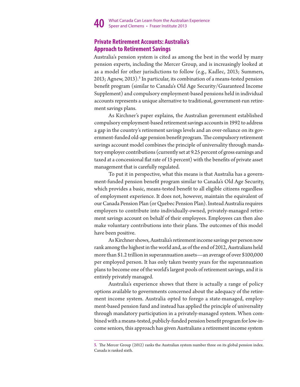

**40** What Canada Can Learn from the Australian Experience Speer and Clemens • Fraser Institute 2013

#### **Private Retirement Accounts: Australia's Approach to Retirement Savings**

Australia's pension system is cited as among the best in the world by many pension experts, including the Mercer Group, and is increasingly looked at as a model for other jurisdictions to follow (e.g., Kadlec, 2013; Summers, 2013; Agnew, 2013).<sup>5</sup> In particular, its combination of a means-tested pension benefit program (similar to Canada's Old Age Security/Guaranteed Income Supplement) and compulsory employment-based pensions held in individual accounts represents a unique alternative to traditional, government-run retirement savings plans.

As Kirchner's paper explains, the Australian government established compulsory employment-based retirement savings accounts in 1992 to address a gap in the country's retirement savings levels and an over-reliance on its government-funded old-age pension benefit program. The compulsory retirement savings account model combines the principle of universality through mandatory employer contributions (currently set at 9.25 percent of gross earnings and taxed at a concessional flat rate of 15 percent) with the benefits of private asset management that is carefully regulated.

To put it in perspective, what this means is that Australia has a government-funded pension benefit program similar to Canada's Old Age Security, which provides a basic, means-tested benefit to all eligible citizens regardless of employment experience. It does not, however, maintain the equivalent of our Canada Pension Plan (or Quebec Pension Plan). Instead Australia requires employers to contribute into individually-owned, privately-managed retirement savings account on behalf of their employees. Employees can then also make voluntary contributions into their plans. The outcomes of this model have been positive.

As Kirchner shows, Australia's retirement income savings per person now rank among the highest in the world and, as of the end of 2012, Australians held more than \$1.2 trillion in superannuation assets—an average of over \$100,000 per employed person. It has only taken twenty years for the superannuation plans to become one of the world's largest pools of retirement savings, and it is entirely privately managed.

Australia's experience shows that there is actually a range of policy options available to governments concerned about the adequacy of the retirement income system. Australia opted to forego a state-managed, employment-based pension fund and instead has applied the principle of universality through mandatory participation in a privately-managed system. When combined with a means-tested, publicly-funded pension benefit program for low-income seniors, this approach has given Australians a retirement income system

**<sup>5.</sup>** The Mercer Group (2012) ranks the Australian system number three on its global pension index. Canada is ranked sixth.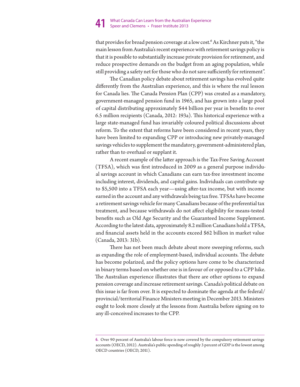

that provides for broad pension coverage at a low cost.<sup>6</sup> As Kirchner puts it, "the main lesson from Australia's recent experience with retirement savings policy is that it is possible to substantially increase private provision for retirement, and reduce prospective demands on the budget from an aging population, while still providing a safety net for those who do not save sufficiently for retirement".

The Canadian policy debate about retirement savings has evolved quite differently from the Australian experience, and this is where the real lesson for Canada lies. The Canada Pension Plan (CPP) was created as a mandatory, government-managed pension fund in 1965, and has grown into a large pool of capital distributing approximately \$44 billion per year in benefits to over 6.5 million recipients (Canada, 2012: 193a). This historical experience with a large state-managed fund has invariably coloured political discussions about reform. To the extent that reforms have been considered in recent years, they have been limited to expanding CPP or introducing new privately-managed savings vehicles to supplement the mandatory, government-administered plan, rather than to overhaul or supplant it.

A recent example of the latter approach is the Tax-Free Saving Account (TFSA), which was first introduced in 2009 as a general purpose individual savings account in which Canadians can earn tax-free investment income including interest, dividends, and capital gains. Individuals can contribute up to \$5,500 into a TFSA each year—using after-tax income, but with income earned in the account and any withdrawals being tax free. TFSAs have become a retirement savings vehicle for many Canadians because of the preferential tax treatment, and because withdrawals do not affect eligibility for means-tested benefits such as Old Age Security and the Guaranteed Income Supplement. According to the latest data, approximately 8.2 million Canadians hold a TFSA, and financial assets held in the accounts exceed \$62 billion in market value (Canada, 2013: 31b).

There has not been much debate about more sweeping reforms, such as expanding the role of employment-based, individual accounts. The debate has become polarized, and the policy options have come to be characterized in binary terms based on whether one is in favour of or opposed to a CPP hike. The Australian experience illustrates that there are other options to expand pension coverage and increase retirement savings. Canada's political debate on this issue is far from over. It is expected to dominate the agenda at the federal/ provincial/territorial Finance Ministers meeting in December 2013. Ministers ought to look more closely at the lessons from Australia before signing on to any ill-conceived increases to the CPP.

**<sup>6.</sup>** Over 90 percent of Australia's labour force is now covered by the compulsory retirement savings accounts (OECD, 2012). Australia's public spending of roughly 3 percent of GDP is the lowest among OECD countries (OECD, 2011).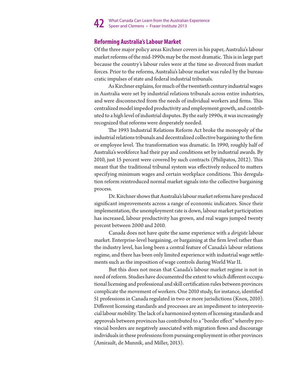

#### **Reforming Australia's Labour Market**

Of the three major policy areas Kirchner covers in his paper, Australia's labour market reforms of the mid-1990s may be the most dramatic. This is in large part because the country's labour rules were at the time so divorced from market forces. Prior to the reforms, Australia's labour market was ruled by the bureaucratic impulses of state and federal industrial tribunals.

As Kirchner explains, for much of the twentieth century industrial wages in Australia were set by industrial relations tribunals across entire industries, and were disconnected from the needs of individual workers and firms. This centralized model impeded productivity and employment growth, and contributed to a high level of industrial disputes. By the early 1990s, it was increasingly recognized that reforms were desperately needed.

The 1993 Industrial Relations Reform Act broke the monopoly of the industrial relations tribunals and decentralized collective bargaining to the firm or employee level. The transformation was dramatic. In 1990, roughly half of Australia's workforce had their pay and conditions set by industrial awards. By 2010, just 15 percent were covered by such contracts (Philipatos, 2012). This meant that the traditional tribunal system was effectively reduced to matters specifying minimum wages and certain workplace conditions. This deregulation reform reintroduced normal market signals into the collective bargaining process.

Dr. Kirchner shows that Australia's labour market reforms have produced significant improvements across a range of economic indicators. Since their implementation, the unemployment rate is down, labour market participation has increased, labour productivity has grown, and real wages jumped twenty percent between 2000 and 2010.

Canada does not have quite the same experience with a *dirigiste* labour market. Enterprise-level bargaining, or bargaining at the firm level rather than the industry level, has long been a central feature of Canada's labour relations regime, and there has been only limited experience with industrial wage settlements such as the imposition of wage controls during World War II.

But this does not mean that Canada's labour market regime is not in need of reform. Studies have documented the extent to which different occupational licensing and professional and skill certification rules between provinces complicate the movement of workers. One 2010 study, for instance, identified 51 professions in Canada regulated in two or more jurisdictions (Knox, 2010). Different licensing standards and processes are an impediment to interprovincial labour mobility. The lack of a harmonized system of licensing standards and approvals between provinces has contributed to a "border effect" whereby provincial borders are negatively associated with migration flows and discourage individuals in these professions from pursuing employment in other provinces (Amirault, de Munnik, and Miller, 2013).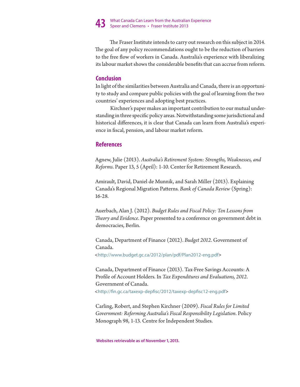

The Fraser Institute intends to carry out research on this subject in 2014. The goal of any policy recommendations ought to be the reduction of barriers to the free flow of workers in Canada. Australia's experience with liberalizing its labour market shows the considerable benefits that can accrue from reform.

### **Conclusion**

In light of the similarities between Australia and Canada, there is an opportunity to study and compare public policies with the goal of learning from the two countries' experiences and adopting best practices.

Kirchner's paper makes an important contribution to our mutual understanding in three specific policy areas. Notwithstanding some jurisdictional and historical differences, it is clear that Canada can learn from Australia's experience in fiscal, pension, and labour market reform.

### **References**

Agnew, Julie (2013). *Australia's Retirement System: Strengths, Weaknesses, and Reforms*. Paper 13, 5 (April): 1-10. Center for Retirement Research.

Amirault, David, Daniel de Munnik, and Sarah Miller (2013). Explaining Canada's Regional Migration Patterns. *Bank of Canada Review* (Spring): 16-28.

Auerbach, Alan J. (2012). *Budget Rules and Fiscal Policy: Ten Lessons from Theory and Evidence*. Paper presented to a conference on government debt in democracies, Berlin.

Canada, Department of Finance (2012). *Budget 2012*. Government of Canada. <http://www.budget.gc.ca/2012/plan/pdf/Plan2012-eng.pdf>

Canada, Department of Finance (2013). Tax-Free Savings Accounts: A Profile of Account Holders. In *Tax Expenditures and Evaluations, 2012*. Government of Canada. <http://fin.gc.ca/taxexp-depfisc/2012/taxexp-depfisc12-eng.pdf>

Carling, Robert, and Stephen Kirchner (2009). *Fiscal Rules for Limited Government: Reforming Australia's Fiscal Responsibility Legislation*. Policy Monograph 98, 1-13. Centre for Independent Studies.

**Websites retrievable as of November 1, 2013.**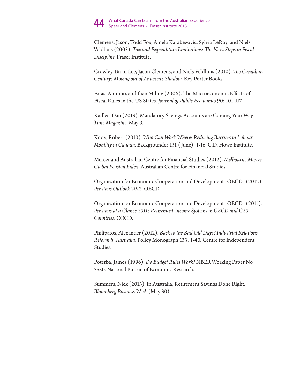

Clemens, Jason, Todd Fox, Amela Karabegovic, Sylvia LeRoy, and Niels Veldhuis (2003). *Tax and Expenditure Limitations: The Next Steps in Fiscal Discipline.* Fraser Institute.

Crowley, Brian Lee, Jason Clemens, and Niels Veldhuis (2010). *The Canadian Century: Moving out of America's Shadow*. Key Porter Books.

Fatas, Antonio, and Ilian Mihov (2006). The Macroeconomic Effects of Fiscal Rules in the US States. *Journal of Public Economics* 90: 101-117.

Kadlec, Dan (2013). Mandatory Savings Accounts are Coming Your Way. *Time Magazine*, May 9.

Knox, Robert (2010). *Who Can Work Where: Reducing Barriers to Labour Mobility in Canada.* Backgrounder 131 ( June): 1-16. C.D. Howe Institute.

Mercer and Australian Centre for Financial Studies (2012). *Melbourne Mercer Global Pension Index*. Australian Centre for Financial Studies.

Organization for Economic Cooperation and Development [OECD] (2012). *Pensions Outlook 2012*. OECD.

Organization for Economic Cooperation and Development [OECD] (2011). *Pensions at a Glance 2011: Retirement-Income Systems in OECD and G20 Countries*. OECD.

Philipatos, Alexander (2012). *Back to the Bad Old Days? Industrial Relations Reform in Australia*. Policy Monograph 133: 1-40. Centre for Independent Studies.

Poterba, James (1996). *Do Budget Rules Work?* NBER Working Paper No. 5550. National Bureau of Economic Research.

Summers, Nick (2013). In Australia, Retirement Savings Done Right. *Bloomberg Business Week* (May 30).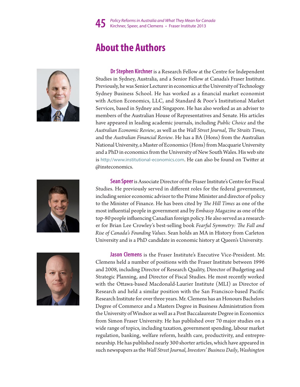

### **About the Authors**



**Dr Stephen Kirchner** is a Research Fellow at the Centre for Independent Studies in Sydney, Australia, and a Senior Fellow at Canada's Fraser Institute. Previously, he was Senior Lecturer in economics at the University of Technology Sydney Business School. He has worked as a financial market economist with Action Economics, LLC, and Standard & Poor's Institutional Market Services, based in Sydney and Singapore. He has also worked as an adviser to members of the Australian House of Representatives and Senate. His articles have appeared in leading academic journals, including *Public Choice* and the *Australian Economic Review*, as well as the *Wall Street Journal*, *The Straits Times*, and the *Australian Financial Review*. He has a BA (Hons) from the Australian National University, a Master of Economics (Hons) from Macquarie University and a PhD in economics from the University of New South Wales. His web site is http://www.institutional-economics.com. He can also be found on Twitter at @insteconomics.



**Sean Speer** is Associate Director of the Fraser Institute's Centre for Fiscal Studies. He previously served in different roles for the federal government, including senior economic advisor to the Prime Minister and director of policy to the Minister of Finance. He has been cited by *The Hill Times* as one of the most influential people in government and by *Embassy Magazine* as one of the top-80 people influencing Canadian foreign policy. He also served as a researcher for Brian Lee Crowley's best-selling book *Fearful Symmetry: The Fall and Rise of Canada's Founding Values*. Sean holds an MA in History from Carleton University and is a PhD candidate in economic history at Queen's University.



**Jason Clemens** is the Fraser Institute's Executive Vice-President. Mr. Clemens held a number of positions with the Fraser Institute between 1996 and 2008, including Director of Research Quality, Director of Budgeting and Strategic Planning, and Director of Fiscal Studies. He most recently worked with the Ottawa-based Macdonald-Laurier Institute (MLI) as Director of Research and held a similar position with the San Francisco-based Pacific Research Institute for over three years. Mr. Clemens has an Honours Bachelors Degree of Commerce and a Masters Degree in Business Administration from the University of Windsor as well as a Post Baccalaureate Degree in Economics from Simon Fraser University. He has published over 70 major studies on a wide range of topics, including taxation, government spending, labour market regulation, banking, welfare reform, health care, productivity, and entrepreneurship. He has published nearly 300 shorter articles, which have appeared in such newspapers as the *Wall Street Journal*, *Investors' Business Daily*, *Washington*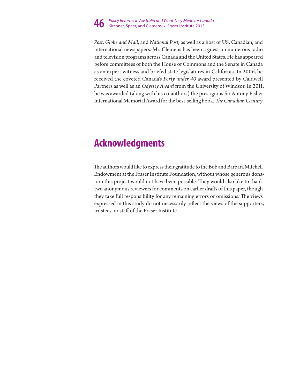

**46** *Policy Reforms in Australia and What They Mean for Canada* Kirchner, Speer, and Clemens • Fraser Institute 2013

*Post*, *Globe and Mail*, and *National Post*, as well as a host of US, Canadian, and international newspapers. Mr. Clemens has been a guest on numerous radio and television programs across Canada and the United States. He has appeared before committees of both the House of Commons and the Senate in Canada as an expert witness and briefed state legislatures in California. In 2006, he received the coveted Canada's *Forty under 40* award presented by Caldwell Partners as well as an *Odyssey Award* from the University of Windsor. In 2011, he was awarded (along with his co-authors) the prestigious Sir Antony Fisher International Memorial Award for the best-selling book, *The Canadian Century*.

### **Acknowledgments**

The authors would like to express their gratitude to the Bob and Barbara Mitchell Endowment at the Fraser Institute Foundation, without whose generous donation this project would not have been possible. They would also like to thank two anonymous reviewers for comments on earlier drafts of this paper, though they take full responsibility for any remaining errors or omissions. The views expressed in this study do not necessarily reflect the views of the supporters, trustees, or staff of the Fraser Institute.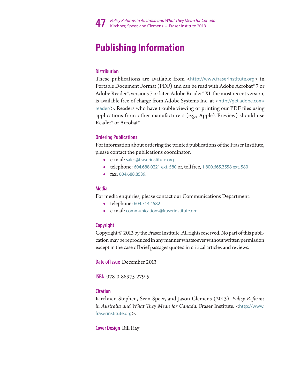

### **Publishing Information**

#### **Distribution**

These publications are available from <http://www.fraserinstitute.org> in Portable Document Format (PDF) and can be read with Adobe Acrobat® 7 or Adobe Reader®, versions 7 or later. Adobe Reader® XI, the most recent version, is available free of charge from Adobe Systems Inc. at <http://get.adobe.com/ reader/>. Readers who have trouble viewing or printing our PDF files using applications from other manufacturers (e.g., Apple's Preview) should use Reader® or Acrobat®.

#### **Ordering Publications**

For information about ordering the printed publications of the Fraser Institute, please contact the publications coordinator:

- **•** e-mail: sales@fraserinstitute.org
- **•** telephone: 604.688.0221 ext. 580 or, toll free, 1.800.665.3558 ext. 580
- **•** fax: 604.688.8539.

#### **Media**

For media enquiries, please contact our Communications Department:

- **•** telephone: 604.714.4582
- **•** e-mail: communications@fraserinstitute.org.

#### **Copyright**

Copyright © 2013 by the Fraser Institute. All rights reserved. No part of this publication may be reproduced in any manner whatsoever without written permission except in the case of brief passages quoted in critical articles and reviews.

**Date of Issue** December 2013

**ISBN** 978-0-88975-279-5

#### **Citation**

Kirchner, Stephen, Sean Speer, and Jason Clemens (2013). *Policy Reforms in Australia and What They Mean for Canada*. Fraser Institute. <http://www. fraserinstitute.org>.

**Cover Design** Bill Ray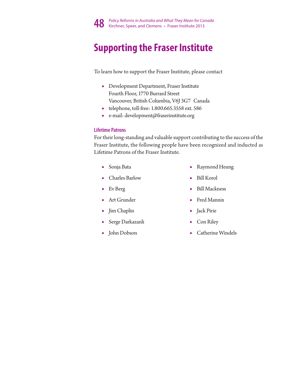

**48** *Policy Reforms in Australia and What They Mean for Canada* Kirchner, Speer, and Clemens • Fraser Institute 2013

## **Supporting the Fraser Institute**

To learn how to support the Fraser Institute, please contact

- **•** Development Department, Fraser Institute Fourth Floor, 1770 Burrard Street Vancouver, British Columbia, V6J 3G7 Canada
- **•** telephone, toll-free: 1.800.665.3558 ext. 586
- **•** e-mail: development@fraserinstitute.org

#### **Lifetime Patrons**

For their long-standing and valuable support contributing to the success of the Fraser Institute, the following people have been recognized and inducted as Lifetime Patrons of the Fraser Institute.

**•** Sonja Bata

**•** Raymond Heung

**•** Charles Barlow

**•** Bill Mackness

- **•** Ev Berg
- **•** Art Grunder
- **•** Jim Chaplin
- **•** Serge Darkazanli
- **•** John Dobson
- **•** Bill Korol
- **•** Fred Mannix
- **•** Jack Pirie
- **•** Con Riley
- **•** Catherine Windels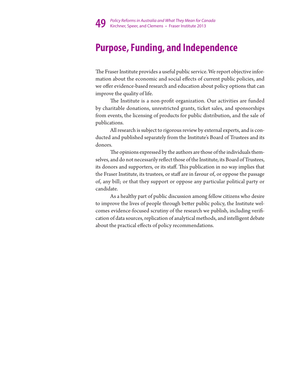### **Purpose, Funding, and Independence**

The Fraser Institute provides a useful public service. We report objective information about the economic and social effects of current public policies, and we offer evidence-based research and education about policy options that can improve the quality of life.

The Institute is a non-profit organization. Our activities are funded by charitable donations, unrestricted grants, ticket sales, and sponsorships from events, the licensing of products for public distribution, and the sale of publications.

All research is subject to rigorous review by external experts, and is conducted and published separately from the Institute's Board of Trustees and its donors.

The opinions expressed by the authors are those of the individuals themselves, and do not necessarily reflect those of the Institute, its Board of Trustees, its donors and supporters, or its staff. This publication in no way implies that the Fraser Institute, its trustees, or staff are in favour of, or oppose the passage of, any bill; or that they support or oppose any particular political party or candidate.

As a healthy part of public discussion among fellow citizens who desire to improve the lives of people through better public policy, the Institute welcomes evidence-focused scrutiny of the research we publish, including verification of data sources, replication of analytical methods, and intelligent debate about the practical effects of policy recommendations.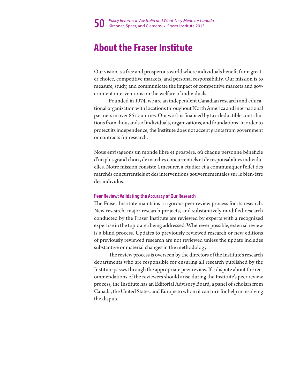### **About the Fraser Institute**

Our vision is a free and prosperous world where individuals benefit from greater choice, competitive markets, and personal responsibility. Our mission is to measure, study, and communicate the impact of competitive markets and government interventions on the welfare of individuals.

Founded in 1974, we are an independent Canadian research and educational organization with locations throughout North America and international partners in over 85 countries. Our work is financed by tax-deductible contributions from thousands of individuals, organizations, and foundations. In order to protect its independence, the Institute does not accept grants from government or contracts for research.

Nous envisageons un monde libre et prospère, où chaque personne bénéficie d'un plus grand choix, de marchés concurrentiels et de responsabilités individuelles. Notre mission consiste à mesurer, à étudier et à communiquer l'effet des marchés concurrentiels et des interventions gouvernementales sur le bien-être des individus.

#### **Peer Review: Validating the Accuracy of Our Research**

The Fraser Institute maintains a rigorous peer review process for its research. New research, major research projects, and substantively modified research conducted by the Fraser Institute are reviewed by experts with a recognized expertise in the topic area being addressed. Whenever possible, external review is a blind process. Updates to previously reviewed research or new editions of previously reviewed research are not reviewed unless the update includes substantive or material changes in the methodology.

The review process is overseen by the directors of the Institute's research departments who are responsible for ensuring all research published by the Institute passes through the appropriate peer review. If a dispute about the recommendations of the reviewers should arise during the Institute's peer review process, the Institute has an Editorial Advisory Board, a panel of scholars from Canada, the United States, and Europe to whom it can turn for help in resolving the dispute.